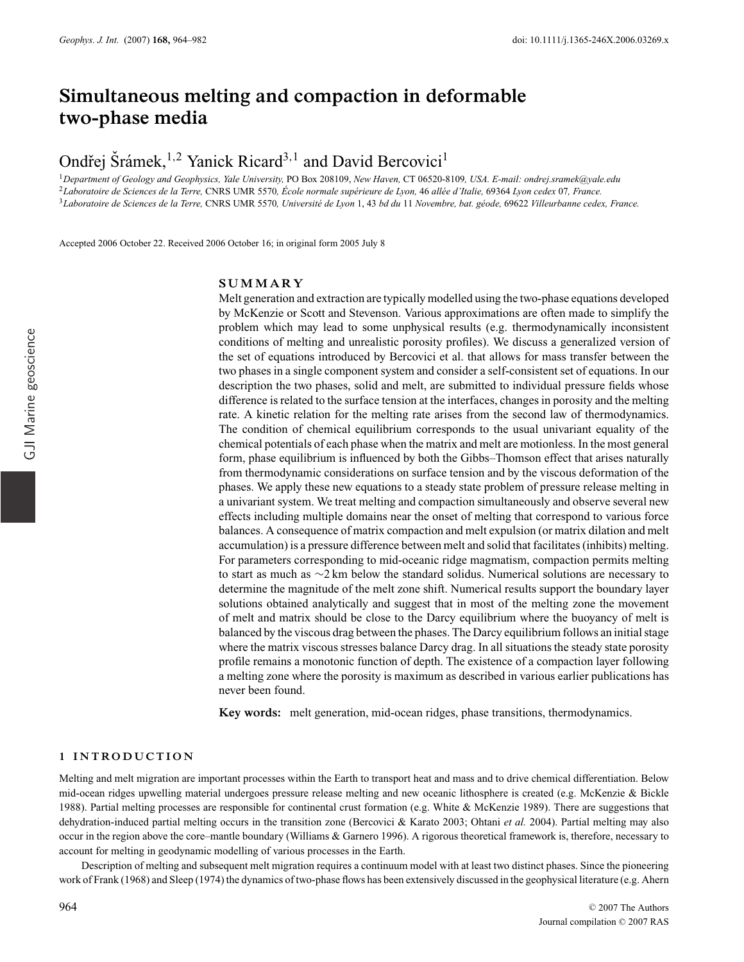# **Simultaneous melting and compaction in deformable two-phase media**

## Ondřej Šrámek,<sup>1,2</sup> Yanick Ricard<sup>3,1</sup> and David Bercovici<sup>1</sup>

<sup>1</sup>*Department of Geology and Geophysics, Yale University,* PO Box 208109, *New Haven,* CT 06520-8109*, USA. E-mail: ondrej.sramek@yale.edu* <sup>2</sup>*Laboratoire de Sciences de la Terre,* CNRS UMR 5570*, Ecole normale sup´ ´ erieure de Lyon,* 46 *all´ee d'Italie,* 69364 *Lyon cedex* 07*, France.* <sup>3</sup>*Laboratoire de Sciences de la Terre,* CNRS UMR 5570*, Universit´e de Lyon* 1, 43 *bd du* 11 *Novembre, bat. g´eode,* 69622 *Villeurbanne cedex, France.*

Accepted 2006 October 22. Received 2006 October 16; in original form 2005 July 8

## **SUMMARY**

Melt generation and extraction are typically modelled using the two-phase equations developed by McKenzie or Scott and Stevenson. Various approximations are often made to simplify the problem which may lead to some unphysical results (e.g. thermodynamically inconsistent conditions of melting and unrealistic porosity profiles). We discuss a generalized version of the set of equations introduced by Bercovici et al. that allows for mass transfer between the two phases in a single component system and consider a self-consistent set of equations. In our description the two phases, solid and melt, are submitted to individual pressure fields whose difference is related to the surface tension at the interfaces, changes in porosity and the melting rate. A kinetic relation for the melting rate arises from the second law of thermodynamics. The condition of chemical equilibrium corresponds to the usual univariant equality of the chemical potentials of each phase when the matrix and melt are motionless. In the most general form, phase equilibrium is influenced by both the Gibbs–Thomson effect that arises naturally from thermodynamic considerations on surface tension and by the viscous deformation of the phases. We apply these new equations to a steady state problem of pressure release melting in a univariant system. We treat melting and compaction simultaneously and observe several new effects including multiple domains near the onset of melting that correspond to various force balances. A consequence of matrix compaction and melt expulsion (or matrix dilation and melt accumulation) is a pressure difference between melt and solid that facilitates (inhibits) melting. For parameters corresponding to mid-oceanic ridge magmatism, compaction permits melting to start as much as ∼2 km below the standard solidus. Numerical solutions are necessary to determine the magnitude of the melt zone shift. Numerical results support the boundary layer solutions obtained analytically and suggest that in most of the melting zone the movement of melt and matrix should be close to the Darcy equilibrium where the buoyancy of melt is balanced by the viscous drag between the phases. The Darcy equilibrium follows an initial stage where the matrix viscous stresses balance Darcy drag. In all situations the steady state porosity profile remains a monotonic function of depth. The existence of a compaction layer following a melting zone where the porosity is maximum as described in various earlier publications has never been found.

**Key words:** melt generation, mid-ocean ridges, phase transitions, thermodynamics.

## **1 I N T RO DUCTION**

Melting and melt migration are important processes within the Earth to transport heat and mass and to drive chemical differentiation. Below mid-ocean ridges upwelling material undergoes pressure release melting and new oceanic lithosphere is created (e.g. McKenzie & Bickle 1988). Partial melting processes are responsible for continental crust formation (e.g. White & McKenzie 1989). There are suggestions that dehydration-induced partial melting occurs in the transition zone (Bercovici & Karato 2003; Ohtani *et al.* 2004). Partial melting may also occur in the region above the core–mantle boundary (Williams & Garnero 1996). A rigorous theoretical framework is, therefore, necessary to account for melting in geodynamic modelling of various processes in the Earth.

Description of melting and subsequent melt migration requires a continuum model with at least two distinct phases. Since the pioneering work of Frank (1968) and Sleep (1974) the dynamics of two-phase flows has been extensively discussed in the geophysical literature (e.g. Ahern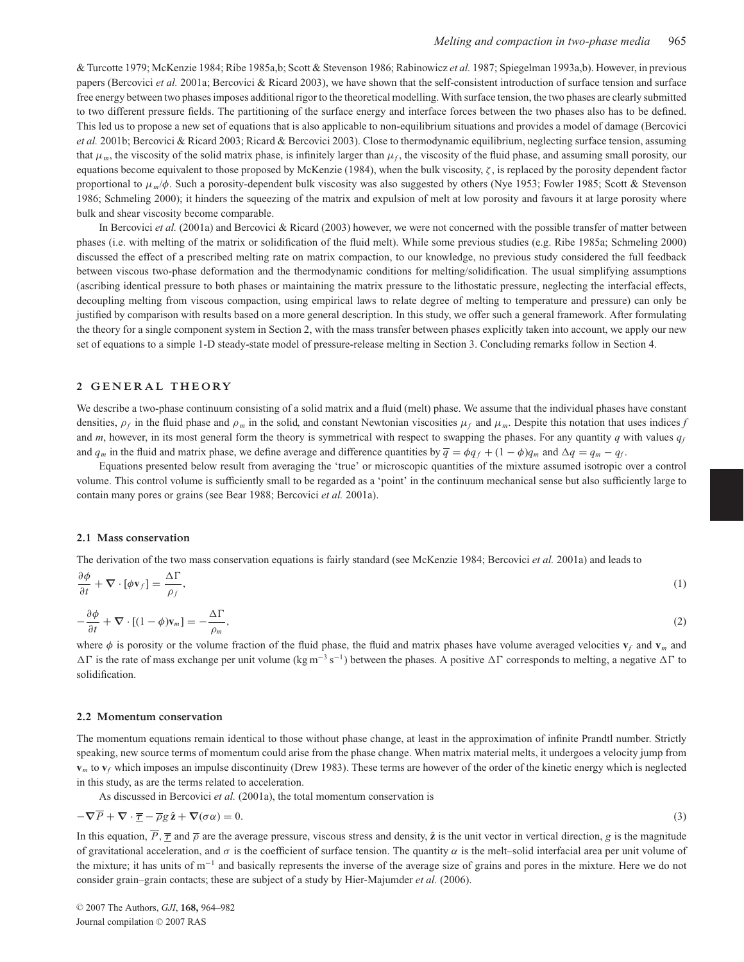& Turcotte 1979; McKenzie 1984; Ribe 1985a,b; Scott & Stevenson 1986; Rabinowicz *et al.* 1987; Spiegelman 1993a,b). However, in previous papers (Bercovici *et al.* 2001a; Bercovici & Ricard 2003), we have shown that the self-consistent introduction of surface tension and surface free energy between two phases imposes additional rigor to the theoretical modelling. With surface tension, the two phases are clearly submitted to two different pressure fields. The partitioning of the surface energy and interface forces between the two phases also has to be defined. This led us to propose a new set of equations that is also applicable to non-equilibrium situations and provides a model of damage (Bercovici *et al.* 2001b; Bercovici & Ricard 2003; Ricard & Bercovici 2003). Close to thermodynamic equilibrium, neglecting surface tension, assuming that  $\mu_m$ , the viscosity of the solid matrix phase, is infinitely larger than  $\mu_f$ , the viscosity of the fluid phase, and assuming small porosity, our equations become equivalent to those proposed by McKenzie (1984), when the bulk viscosity,  $\zeta$ , is replaced by the porosity dependent factor proportional to  $\mu_m/\phi$ . Such a porosity-dependent bulk viscosity was also suggested by others (Nye 1953; Fowler 1985; Scott & Stevenson 1986; Schmeling 2000); it hinders the squeezing of the matrix and expulsion of melt at low porosity and favours it at large porosity where bulk and shear viscosity become comparable.

In Bercovici *et al.* (2001a) and Bercovici & Ricard (2003) however, we were not concerned with the possible transfer of matter between phases (i.e. with melting of the matrix or solidification of the fluid melt). While some previous studies (e.g. Ribe 1985a; Schmeling 2000) discussed the effect of a prescribed melting rate on matrix compaction, to our knowledge, no previous study considered the full feedback between viscous two-phase deformation and the thermodynamic conditions for melting/solidification. The usual simplifying assumptions (ascribing identical pressure to both phases or maintaining the matrix pressure to the lithostatic pressure, neglecting the interfacial effects, decoupling melting from viscous compaction, using empirical laws to relate degree of melting to temperature and pressure) can only be justified by comparison with results based on a more general description. In this study, we offer such a general framework. After formulating the theory for a single component system in Section 2, with the mass transfer between phases explicitly taken into account, we apply our new set of equations to a simple 1-D steady-state model of pressure-release melting in Section 3. Concluding remarks follow in Section 4.

## **2 G E N E R A L T H E O RY**

We describe a two-phase continuum consisting of a solid matrix and a fluid (melt) phase. We assume that the individual phases have constant densities,  $\rho_f$  in the fluid phase and  $\rho_m$  in the solid, and constant Newtonian viscosities  $\mu_f$  and  $\mu_m$ . Despite this notation that uses indices *f* and *m*, however, in its most general form the theory is symmetrical with respect to swapping the phases. For any quantity *q* with values  $q_f$ and  $q_m$  in the fluid and matrix phase, we define average and difference quantities by  $\overline{q} = \phi q_f + (1 - \phi)q_m$  and  $\Delta q = q_m - q_f$ .

Equations presented below result from averaging the 'true' or microscopic quantities of the mixture assumed isotropic over a control volume. This control volume is sufficiently small to be regarded as a 'point' in the continuum mechanical sense but also sufficiently large to contain many pores or grains (see Bear 1988; Bercovici *et al.* 2001a).

#### **2.1 Mass conservation**

∂φ

The derivation of the two mass conservation equations is fairly standard (see McKenzie 1984; Bercovici *et al.* 2001a) and leads to

$$
\frac{\partial \phi}{\partial t} + \nabla \cdot [\phi \mathbf{v}_f] = \frac{\Delta \Gamma}{\rho_f},
$$
\n
$$
-\frac{\partial \phi}{\partial t} + \nabla \cdot [(1 - \phi)\mathbf{v}_m] = -\frac{\Delta \Gamma}{\rho_m},
$$
\n(2)

where 
$$
\phi
$$
 is porosity or the volume fraction of the fluid phase, the fluid and matrix phases have volume averaged velocities  $\mathbf{v}_f$  and  $\mathbf{v}_m$  and  $\Delta \Gamma$  is the rate of mass exchange per unit volume (kg m<sup>-3</sup> s<sup>-1</sup>) between the phases. A positive  $\Delta \Gamma$  corresponds to melting, a negative  $\Delta \Gamma$  to solidification.

#### **2.2 Momentum conservation**

The momentum equations remain identical to those without phase change, at least in the approximation of infinite Prandtl number. Strictly speaking, new source terms of momentum could arise from the phase change. When matrix material melts, it undergoes a velocity jump from  **to**  $**v**<sub>f</sub>$  **which imposes an impulse discontinuity (Drew 1983). These terms are however of the order of the kinetic energy which is neglected** in this study, as are the terms related to acceleration.

As discussed in Bercovici *et al.* (2001a), the total momentum conservation is

$$
-\nabla \overline{P} + \nabla \cdot \overline{\underline{\tau}} - \overline{\rho} g \hat{\mathbf{z}} + \nabla(\sigma \alpha) = 0.
$$
 (3)

In this equation,  $\overline{P}$ ,  $\overline{T}$  and  $\overline{P}$  are the average pressure, viscous stress and density,  $\hat{z}$  is the unit vector in vertical direction, *g* is the magnitude of gravitational acceleration, and  $\sigma$  is the coefficient of surface tension. The quantity  $\alpha$  is the melt–solid interfacial area per unit volume of the mixture; it has units of m−<sup>1</sup> and basically represents the inverse of the average size of grains and pores in the mixture. Here we do not consider grain–grain contacts; these are subject of a study by Hier-Majumder *et al.* (2006).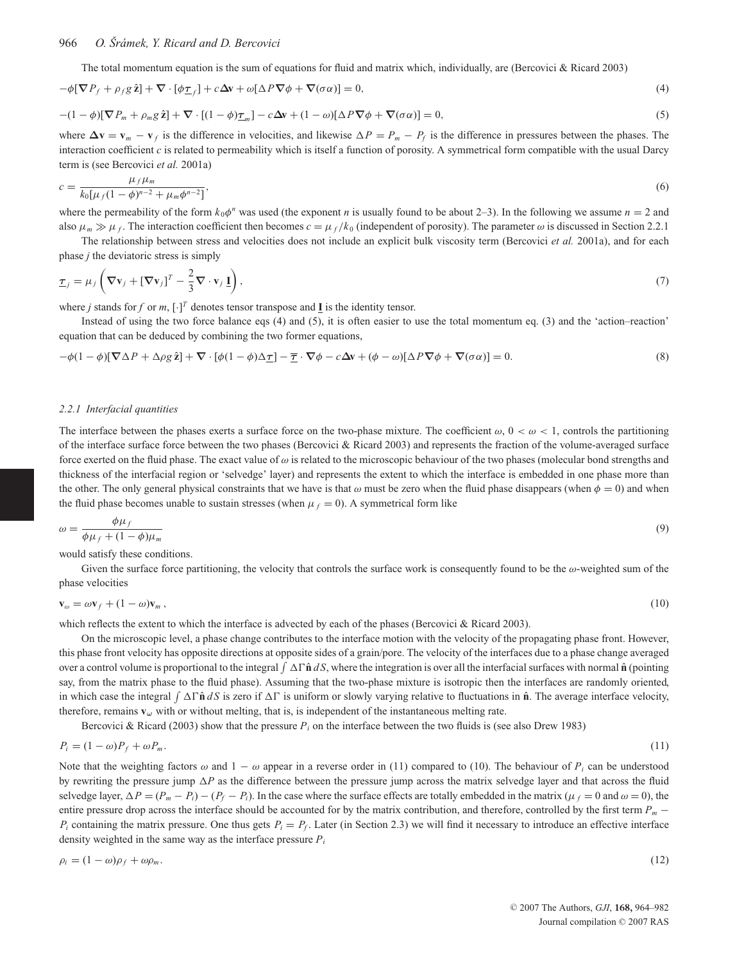The total momentum equation is the sum of equations for fluid and matrix which, individually, are (Bercovici & Ricard 2003)

$$
-\phi[\nabla P_f + \rho_f g \hat{\mathbf{z}}] + \nabla \cdot [\phi \underline{\tau}_f] + c\Delta v + \omega[\Delta P \nabla \phi + \nabla(\sigma \alpha)] = 0, \tag{4}
$$

$$
-(1-\phi)[\nabla P_m + \rho_m g \hat{\mathbf{z}}] + \nabla \cdot [(1-\phi)\underline{\tau}_m] - c\Delta v + (1-\omega)[\Delta P \nabla \phi + \nabla(\sigma \alpha)] = 0, \tag{5}
$$

where  $\Delta v = v_m - v_f$  is the difference in velocities, and likewise  $\Delta P = P_m - P_f$  is the difference in pressures between the phases. The interaction coefficient *c* is related to permeability which is itself a function of porosity. A symmetrical form compatible with the usual Darcy term is (see Bercovici *et al.* 2001a)

$$
c = \frac{\mu_f \mu_m}{k_0 [\mu_f (1 - \phi)^{n-2} + \mu_m \phi^{n-2}]} \tag{6}
$$

where the permeability of the form  $k_0\phi^n$  was used (the exponent *n* is usually found to be about 2–3). In the following we assume  $n = 2$  and also  $\mu_m \gg \mu_f$ . The interaction coefficient then becomes  $c = \mu_f / k_0$  (independent of porosity). The parameter  $\omega$  is discussed in Section 2.2.1

The relationship between stress and velocities does not include an explicit bulk viscosity term (Bercovici *et al.* 2001a), and for each phase *j* the deviatoric stress is simply

$$
\underline{\tau}_j = \mu_j \left( \nabla \mathbf{v}_j + [\nabla \mathbf{v}_j]^T - \frac{2}{3} \nabla \cdot \mathbf{v}_j \underline{\mathbf{I}} \right),\tag{7}
$$

where *j* stands for *f* or *m*,  $[\cdot]^T$  denotes tensor transpose and **I** is the identity tensor.

Instead of using the two force balance eqs (4) and (5), it is often easier to use the total momentum eq. (3) and the 'action–reaction' equation that can be deduced by combining the two former equations,

$$
-\phi(1-\phi)[\nabla\Delta P + \Delta\rho g\,\hat{\mathbf{z}}] + \nabla\cdot[\phi(1-\phi)\Delta\underline{\tau}] - \overline{\underline{\tau}}\cdot\nabla\phi - c\Delta\mathbf{v} + (\phi-\omega)[\Delta P\nabla\phi + \nabla(\sigma\alpha)] = 0.
$$
\n(8)

#### *2.2.1 Interfacial quantities*

The interface between the phases exerts a surface force on the two-phase mixture. The coefficient  $\omega$ ,  $0 < \omega < 1$ , controls the partitioning of the interface surface force between the two phases (Bercovici & Ricard 2003) and represents the fraction of the volume-averaged surface force exerted on the fluid phase. The exact value of  $\omega$  is related to the microscopic behaviour of the two phases (molecular bond strengths and thickness of the interfacial region or 'selvedge' layer) and represents the extent to which the interface is embedded in one phase more than the other. The only general physical constraints that we have is that  $\omega$  must be zero when the fluid phase disappears (when  $\phi = 0$ ) and when the fluid phase becomes unable to sustain stresses (when  $\mu_f = 0$ ). A symmetrical form like

$$
\omega = \frac{\phi \mu_f}{\phi \mu_f + (1 - \phi)\mu_m} \tag{9}
$$

would satisfy these conditions.

Given the surface force partitioning, the velocity that controls the surface work is consequently found to be the  $\omega$ -weighted sum of the phase velocities

$$
\mathbf{v}_{\omega} = \omega \mathbf{v}_f + (1 - \omega) \mathbf{v}_m \,,\tag{10}
$$

which reflects the extent to which the interface is advected by each of the phases (Bercovici & Ricard 2003).

On the microscopic level, a phase change contributes to the interface motion with the velocity of the propagating phase front. However, this phase front velocity has opposite directions at opposite sides of a grain/pore. The velocity of the interfaces due to a phase change averaged over a control volume is proportional to the integral  $\int \Delta \Gamma \hat{\mathbf{n}} dS$ , where the integration is over all the interfacial surfaces with normal  $\hat{\mathbf{n}}$  (pointing say, from the matrix phase to the fluid phase). Assuming that the two-phase mixture is isotropic then the interfaces are randomly oriented, in which case the integral  $\int \Delta \Gamma \hat{\mathbf{n}} dS$  is zero if  $\Delta \Gamma$  is uniform or slowly varying relative to fluctuations in  $\hat{\mathbf{n}}$ . The average interface velocity, therefore, remains  $\bf{v}_\omega$  with or without melting, that is, is independent of the instantaneous melting rate.

Bercovici & Ricard (2003) show that the pressure *Pi* on the interface between the two fluids is (see also Drew 1983)

$$
P_i = (1 - \omega)P_f + \omega P_m. \tag{11}
$$

Note that the weighting factors  $\omega$  and  $1 - \omega$  appear in a reverse order in (11) compared to (10). The behaviour of  $P_i$  can be understood by rewriting the pressure jump  $\Delta P$  as the difference between the pressure jump across the matrix selvedge layer and that across the fluid selvedge layer,  $\Delta P = (P_m - P_i) - (P_f - P_i)$ . In the case where the surface effects are totally embedded in the matrix ( $\mu_f = 0$  and  $\omega = 0$ ), the entire pressure drop across the interface should be accounted for by the matrix contribution, and therefore, controlled by the first term *P<sub>m</sub>* −  $P_i$  containing the matrix pressure. One thus gets  $P_i = P_f$ . Later (in Section 2.3) we will find it necessary to introduce an effective interface density weighted in the same way as the interface pressure *Pi*

$$
\rho_i = (1 - \omega)\rho_f + \omega\rho_m. \tag{12}
$$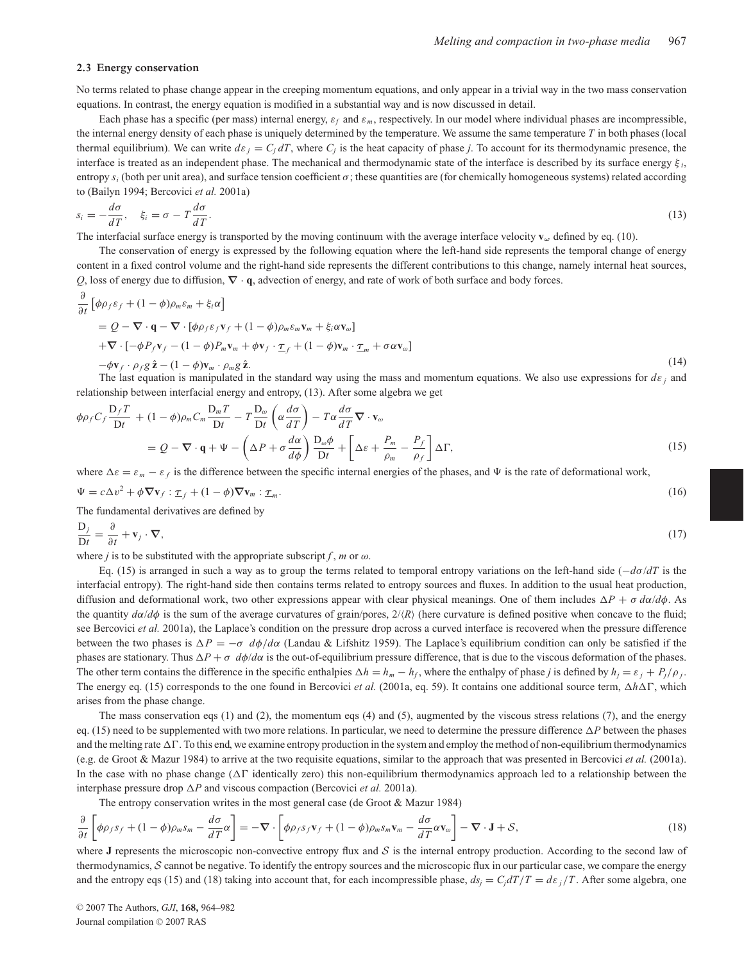#### **2.3 Energy conservation**

No terms related to phase change appear in the creeping momentum equations, and only appear in a trivial way in the two mass conservation equations. In contrast, the energy equation is modified in a substantial way and is now discussed in detail.

Each phase has a specific (per mass) internal energy, ε*<sup>f</sup>* and ε*m*, respectively. In our model where individual phases are incompressible, the internal energy density of each phase is uniquely determined by the temperature. We assume the same temperature *T* in both phases (local thermal equilibrium). We can write  $d\varepsilon_j = C_j dT$ , where  $C_j$  is the heat capacity of phase *j*. To account for its thermodynamic presence, the interface is treated as an independent phase. The mechanical and thermodynamic state of the interface is described by its surface energy  $\xi_i$ , entropy  $s_i$  (both per unit area), and surface tension coefficient  $\sigma$ ; these quantities are (for chemically homogeneous systems) related according to (Bailyn 1994; Bercovici *et al.* 2001a)

$$
s_i = -\frac{d\sigma}{dT}, \quad \xi_i = \sigma - T\frac{d\sigma}{dT}.\tag{13}
$$

The interfacial surface energy is transported by the moving continuum with the average interface velocity  $\mathbf{v}_\omega$  defined by eq. (10).

The conservation of energy is expressed by the following equation where the left-hand side represents the temporal change of energy content in a fixed control volume and the right-hand side represents the different contributions to this change, namely internal heat sources, *Q*, loss of energy due to diffusion, ∇ · **q**, advection of energy, and rate of work of both surface and body forces.

$$
\frac{\partial}{\partial t} \left[ \phi \rho_f \varepsilon_f + (1 - \phi) \rho_m \varepsilon_m + \xi_i \alpha \right]
$$
\n
$$
= Q - \nabla \cdot \mathbf{q} - \nabla \cdot \left[ \phi \rho_f \varepsilon_f \mathbf{v}_f + (1 - \phi) \rho_m \varepsilon_m \mathbf{v}_m + \xi_i \alpha \mathbf{v}_\omega \right]
$$
\n
$$
+ \nabla \cdot \left[ -\phi P_f \mathbf{v}_f - (1 - \phi) P_m \mathbf{v}_m + \phi \mathbf{v}_f \cdot \mathbf{r}_f + (1 - \phi) \mathbf{v}_m \cdot \mathbf{r}_m + \sigma \alpha \mathbf{v}_\omega \right]
$$
\n
$$
- \phi \mathbf{v}_f \cdot \rho_f g \hat{\mathbf{z}} - (1 - \phi) \mathbf{v}_m \cdot \rho_m g \hat{\mathbf{z}}.
$$
\n(14)

The last equation is manipulated in the standard way using the mass and momentum equations. We also use expressions for *d*ε *<sup>j</sup>* and relationship between interfacial energy and entropy, (13). After some algebra we get

$$
\phi \rho_f C_f \frac{D_f T}{Dt} + (1 - \phi) \rho_m C_m \frac{D_m T}{Dt} - T \frac{D_{\omega}}{Dt} \left( \alpha \frac{d\sigma}{dT} \right) - T \alpha \frac{d\sigma}{dT} \nabla \cdot \mathbf{v}_{\omega}
$$
  
=  $Q - \nabla \cdot \mathbf{q} + \Psi - \left( \Delta P + \sigma \frac{d\alpha}{d\phi} \right) \frac{D_{\omega} \phi}{Dt} + \left[ \Delta \varepsilon + \frac{P_m}{\rho_m} - \frac{P_f}{\rho_f} \right] \Delta \Gamma,$  (15)

where  $\Delta \varepsilon = \varepsilon_m - \varepsilon_f$  is the difference between the specific internal energies of the phases, and  $\Psi$  is the rate of deformational work,

$$
\Psi = c\Delta v^2 + \phi \nabla \mathbf{v}_f : \underline{\boldsymbol{\tau}}_f + (1 - \phi) \nabla \mathbf{v}_m : \underline{\boldsymbol{\tau}}_m.
$$
\n(16)

The fundamental derivatives are defined by

$$
\frac{\mathbf{D}_j}{\mathbf{D}t} = \frac{\partial}{\partial t} + \mathbf{v}_j \cdot \nabla,\tag{17}
$$

where *j* is to be substituted with the appropriate subscript *f*, *m* or  $\omega$ .

Eq. (15) is arranged in such a way as to group the terms related to temporal entropy variations on the left-hand side (−*d*σ/*dT* is the interfacial entropy). The right-hand side then contains terms related to entropy sources and fluxes. In addition to the usual heat production, diffusion and deformational work, two other expressions appear with clear physical meanings. One of them includes  $\Delta P + \sigma \, d\alpha/d\phi$ . As the quantity  $d\alpha/d\phi$  is the sum of the average curvatures of grain/pores,  $2\langle R \rangle$  (here curvature is defined positive when concave to the fluid; see Bercovici et al. 2001a), the Laplace's condition on the pressure drop across a curved interface is recovered when the pressure difference between the two phases is  $\Delta P = -\sigma d\phi/d\alpha$  (Landau & Lifshitz 1959). The Laplace's equilibrium condition can only be satisfied if the phases are stationary. Thus  $\Delta P + \sigma d\phi/d\alpha$  is the out-of-equilibrium pressure difference, that is due to the viscous deformation of the phases. The other term contains the difference in the specific enthalpies  $\Delta h = h_m - h_f$ , where the enthalpy of phase *j* is defined by  $h_i = \varepsilon_i + P_i/\rho_i$ . The energy eq. (15) corresponds to the one found in Bercovici *et al.* (2001a, eq. 59). It contains one additional source term,  $\Delta h \Delta \Gamma$ , which arises from the phase change.

The mass conservation eqs (1) and (2), the momentum eqs (4) and (5), augmented by the viscous stress relations (7), and the energy eq. (15) need to be supplemented with two more relations. In particular, we need to determine the pressure difference  $\Delta P$  between the phases and the melting rate  $\Delta \Gamma$ . To this end, we examine entropy production in the system and employ the method of non-equilibrium thermodynamics (e.g. de Groot & Mazur 1984) to arrive at the two requisite equations, similar to the approach that was presented in Bercovici *et al.* (2001a). In the case with no phase change ( $\Delta \Gamma$  identically zero) this non-equilibrium thermodynamics approach led to a relationship between the interphase pressure drop  $\Delta P$  and viscous compaction (Bercovici *et al.* 2001a).

The entropy conservation writes in the most general case (de Groot & Mazur 1984)

$$
\frac{\partial}{\partial t} \left[ \phi \rho_f s_f + (1 - \phi) \rho_m s_m - \frac{d \sigma}{dT} \alpha \right] = - \nabla \cdot \left[ \phi \rho_f s_f \mathbf{v}_f + (1 - \phi) \rho_m s_m \mathbf{v}_m - \frac{d \sigma}{dT} \alpha \mathbf{v}_\omega \right] - \nabla \cdot \mathbf{J} + \mathcal{S},\tag{18}
$$

where **J** represents the microscopic non-convective entropy flux and  $S$  is the internal entropy production. According to the second law of thermodynamics,  $S$  cannot be negative. To identify the entropy sources and the microscopic flux in our particular case, we compare the energy and the entropy eqs (15) and (18) taking into account that, for each incompressible phase,  $ds_j = C_j dT/T = d\varepsilon_j/T$ . After some algebra, one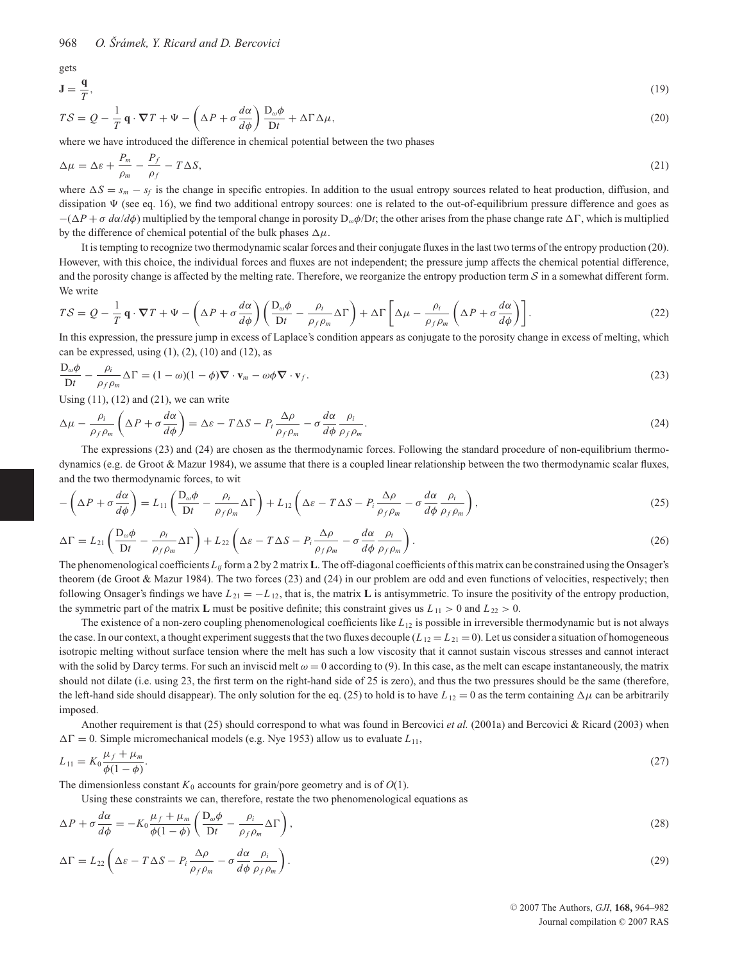gets

$$
\mathbf{J} = \frac{\mathbf{q}}{T},\tag{19}
$$

$$
T\mathcal{S} = \mathcal{Q} - \frac{1}{T}\mathbf{q} \cdot \nabla T + \Psi - \left(\Delta P + \sigma \frac{d\alpha}{d\phi}\right) \frac{D_o \phi}{Dt} + \Delta \Gamma \Delta \mu, \tag{20}
$$

where we have introduced the difference in chemical potential between the two phases

$$
\Delta \mu = \Delta \varepsilon + \frac{P_m}{\rho_m} - \frac{P_f}{\rho_f} - T \Delta S,\tag{21}
$$

where  $\Delta S = s_m - s_f$  is the change in specific entropies. In addition to the usual entropy sources related to heat production, diffusion, and dissipation  $\Psi$  (see eq. 16), we find two additional entropy sources: one is related to the out-of-equilibrium pressure difference and goes as  $-(\Delta P + \sigma \, d\alpha/d\phi)$  multiplied by the temporal change in porosity D<sub>ω</sub> $\phi/Dt$ ; the other arises from the phase change rate  $\Delta \Gamma$ , which is multiplied by the difference of chemical potential of the bulk phases  $\Delta \mu$ .

It is tempting to recognize two thermodynamic scalar forces and their conjugate fluxes in the last two terms of the entropy production (20). However, with this choice, the individual forces and fluxes are not independent; the pressure jump affects the chemical potential difference, and the porosity change is affected by the melting rate. Therefore, we reorganize the entropy production term  $S$  in a somewhat different form. We write

$$
T\mathcal{S} = Q - \frac{1}{T} \mathbf{q} \cdot \nabla T + \Psi - \left(\Delta P + \sigma \frac{d\alpha}{d\phi}\right) \left(\frac{D_{\omega}\phi}{Dt} - \frac{\rho_i}{\rho_f \rho_m} \Delta \Gamma\right) + \Delta \Gamma \left[\Delta \mu - \frac{\rho_i}{\rho_f \rho_m} \left(\Delta P + \sigma \frac{d\alpha}{d\phi}\right)\right].
$$
\n(22)

In this expression, the pressure jump in excess of Laplace's condition appears as conjugate to the porosity change in excess of melting, which can be expressed, using  $(1)$ ,  $(2)$ ,  $(10)$  and  $(12)$ , as

$$
\frac{D_{\omega}\phi}{Dt} - \frac{\rho_i}{\rho_f \rho_m} \Delta \Gamma = (1 - \omega)(1 - \phi)\nabla \cdot \mathbf{v}_m - \omega\phi \nabla \cdot \mathbf{v}_f.
$$
\n(23)

Using  $(11)$ ,  $(12)$  and  $(21)$ , we can write

$$
\Delta \mu - \frac{\rho_i}{\rho_f \rho_m} \left( \Delta P + \sigma \frac{d\alpha}{d\phi} \right) = \Delta \varepsilon - T \Delta S - P_i \frac{\Delta \rho}{\rho_f \rho_m} - \sigma \frac{d\alpha}{d\phi} \frac{\rho_i}{\rho_f \rho_m}.
$$
\n(24)

The expressions (23) and (24) are chosen as the thermodynamic forces. Following the standard procedure of non-equilibrium thermodynamics (e.g. de Groot & Mazur 1984), we assume that there is a coupled linear relationship between the two thermodynamic scalar fluxes, and the two thermodynamic forces, to wit

$$
-\left(\Delta P + \sigma \frac{d\alpha}{d\phi}\right) = L_{11}\left(\frac{D_{\omega}\phi}{Dt} - \frac{\rho_i}{\rho_f\rho_m}\Delta\Gamma\right) + L_{12}\left(\Delta\varepsilon - T\Delta S - P_i\frac{\Delta\rho}{\rho_f\rho_m} - \sigma \frac{d\alpha}{d\phi}\frac{\rho_i}{\rho_f\rho_m}\right),\tag{25}
$$

$$
\Delta \Gamma = L_{21} \left( \frac{D_{\omega} \phi}{Dt} - \frac{\rho_i}{\rho_f \rho_m} \Delta \Gamma \right) + L_{22} \left( \Delta \varepsilon - T \Delta S - P_i \frac{\Delta \rho}{\rho_f \rho_m} - \sigma \frac{d\alpha}{d\phi} \frac{\rho_i}{\rho_f \rho_m} \right). \tag{26}
$$

The phenomenological coefficients *Lij* form a 2 by 2 matrix**L**. The off-diagonal coefficients of this matrix can be constrained using the Onsager's theorem (de Groot & Mazur 1984). The two forces (23) and (24) in our problem are odd and even functions of velocities, respectively; then following Onsager's findings we have  $L_{21} = -L_{12}$ , that is, the matrix **L** is antisymmetric. To insure the positivity of the entropy production, the symmetric part of the matrix **L** must be positive definite; this constraint gives us  $L_{11} > 0$  and  $L_{22} > 0$ .

The existence of a non-zero coupling phenomenological coefficients like *L*<sub>12</sub> is possible in irreversible thermodynamic but is not always the case. In our context, a thought experiment suggests that the two fluxes decouple  $(L_{12} = L_{21} = 0)$ . Let us consider a situation of homogeneous isotropic melting without surface tension where the melt has such a low viscosity that it cannot sustain viscous stresses and cannot interact with the solid by Darcy terms. For such an inviscid melt  $\omega = 0$  according to (9). In this case, as the melt can escape instantaneously, the matrix should not dilate (i.e. using 23, the first term on the right-hand side of 25 is zero), and thus the two pressures should be the same (therefore, the left-hand side should disappear). The only solution for the eq. (25) to hold is to have  $L_{12} = 0$  as the term containing  $\Delta \mu$  can be arbitrarily imposed.

Another requirement is that (25) should correspond to what was found in Bercovici *et al.* (2001a) and Bercovici & Ricard (2003) when  $\Delta \Gamma = 0$ . Simple micromechanical models (e.g. Nye 1953) allow us to evaluate  $L_{11}$ ,

$$
L_{11} = K_0 \frac{\mu_f + \mu_m}{\phi(1 - \phi)}.\tag{27}
$$

The dimensionless constant  $K_0$  accounts for grain/pore geometry and is of  $O(1)$ .

Using these constraints we can, therefore, restate the two phenomenological equations as

$$
\Delta P + \sigma \frac{d\alpha}{d\phi} = -K_0 \frac{\mu_f + \mu_m}{\phi (1 - \phi)} \left( \frac{\mathcal{D}_\omega \phi}{\mathcal{D}t} - \frac{\rho_i}{\rho_f \rho_m} \Delta \Gamma \right),\tag{28}
$$

$$
\Delta \Gamma = L_{22} \left( \Delta \varepsilon - T \Delta S - P_i \frac{\Delta \rho}{\rho_f \rho_m} - \sigma \frac{d\alpha}{d\phi} \frac{\rho_i}{\rho_f \rho_m} \right). \tag{29}
$$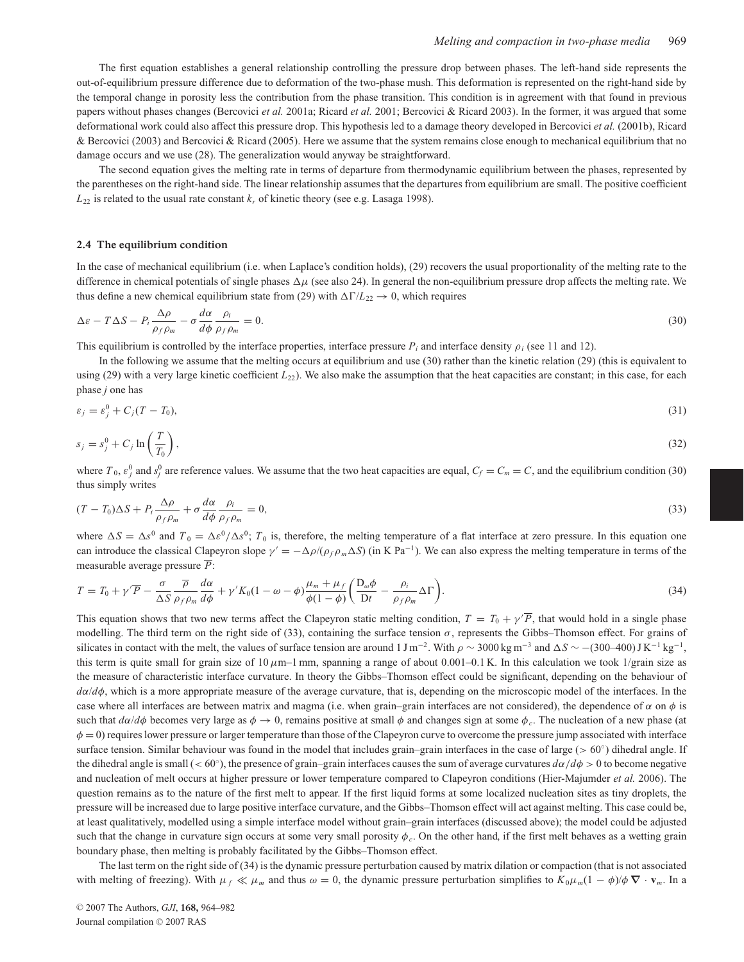The first equation establishes a general relationship controlling the pressure drop between phases. The left-hand side represents the out-of-equilibrium pressure difference due to deformation of the two-phase mush. This deformation is represented on the right-hand side by the temporal change in porosity less the contribution from the phase transition. This condition is in agreement with that found in previous papers without phases changes (Bercovici *et al.* 2001a; Ricard *et al.* 2001; Bercovici & Ricard 2003). In the former, it was argued that some deformational work could also affect this pressure drop. This hypothesis led to a damage theory developed in Bercovici *et al.* (2001b), Ricard & Bercovici (2003) and Bercovici & Ricard (2005). Here we assume that the system remains close enough to mechanical equilibrium that no damage occurs and we use (28). The generalization would anyway be straightforward.

The second equation gives the melting rate in terms of departure from thermodynamic equilibrium between the phases, represented by the parentheses on the right-hand side. The linear relationship assumes that the departures from equilibrium are small. The positive coefficient  $L_{22}$  is related to the usual rate constant  $k_r$  of kinetic theory (see e.g. Lasaga 1998).

## **2.4 The equilibrium condition**

In the case of mechanical equilibrium (i.e. when Laplace's condition holds), (29) recovers the usual proportionality of the melting rate to the difference in chemical potentials of single phases  $\Delta \mu$  (see also 24). In general the non-equilibrium pressure drop affects the melting rate. We thus define a new chemical equilibrium state from (29) with  $\Delta\Gamma/L_{22} \rightarrow 0$ , which requires

$$
\Delta \varepsilon - T \Delta S - P_i \frac{\Delta \rho}{\rho_f \rho_m} - \sigma \frac{d\alpha}{d\phi} \frac{\rho_i}{\rho_f \rho_m} = 0. \tag{30}
$$

This equilibrium is controlled by the interface properties, interface pressure  $P_i$  and interface density  $\rho_i$  (see 11 and 12).

In the following we assume that the melting occurs at equilibrium and use (30) rather than the kinetic relation (29) (this is equivalent to using (29) with a very large kinetic coefficient *L*<sub>22</sub>). We also make the assumption that the heat capacities are constant; in this case, for each phase *j* one has

$$
\varepsilon_j = \varepsilon_j^0 + C_j (T - T_0),\tag{31}
$$

$$
s_j = s_j^0 + C_j \ln\left(\frac{T}{T_0}\right),\tag{32}
$$

where  $T_0$ ,  $\varepsilon_j^0$  and  $s_j^0$  are reference values. We assume that the two heat capacities are equal,  $C_f = C_m = C$ , and the equilibrium condition (30) thus simply writes

$$
(T - T_0)\Delta S + P_i \frac{\Delta \rho}{\rho_f \rho_m} + \sigma \frac{d\alpha}{d\phi} \frac{\rho_i}{\rho_f \rho_m} = 0,
$$
\n(33)

where  $\Delta S = \Delta s^0$  and  $T_0 = \Delta \epsilon^0 / \Delta s^0$ ;  $T_0$  is, therefore, the melting temperature of a flat interface at zero pressure. In this equation one can introduce the classical Clapeyron slope  $\gamma' = -\Delta \rho / (\rho_f \rho_m \Delta S)$  (in K Pa<sup>-1</sup>). We can also express the melting temperature in terms of the measurable average pressure *P*:

$$
T = T_0 + \gamma' \overline{P} - \frac{\sigma}{\Delta S} \frac{\overline{\rho}}{\rho_f \rho_m} \frac{d\alpha}{d\phi} + \gamma' K_0 (1 - \omega - \phi) \frac{\mu_m + \mu_f}{\phi (1 - \phi)} \left( \frac{D_\omega \phi}{Dt} - \frac{\rho_i}{\rho_f \rho_m} \Delta \Gamma \right).
$$
(34)

This equation shows that two new terms affect the Clapeyron static melting condition,  $T = T_0 + \gamma' P$ , that would hold in a single phase modelling. The third term on the right side of (33), containing the surface tension  $\sigma$ , represents the Gibbs–Thomson effect. For grains of silicates in contact with the melt, the values of surface tension are around  $1 \text{ J m}^{-2}$ . With  $\rho \sim 3000 \text{ kg m}^{-3}$  and  $\Delta S \sim -(300-400) \text{ J K}^{-1} \text{ kg}^{-1}$ , this term is quite small for grain size of  $10 \mu m-1$  mm, spanning a range of about 0.001–0.1 K. In this calculation we took 1/grain size as the measure of characteristic interface curvature. In theory the Gibbs–Thomson effect could be significant, depending on the behaviour of *dα/dφ*, which is a more appropriate measure of the average curvature, that is, depending on the microscopic model of the interfaces. In the case where all interfaces are between matrix and magma (i.e. when grain–grain interfaces are not considered), the dependence of  $\alpha$  on  $\phi$  is such that  $d\alpha/d\phi$  becomes very large as  $\phi \to 0$ , remains positive at small  $\phi$  and changes sign at some  $\phi_c$ . The nucleation of a new phase (at  $\phi = 0$ ) requires lower pressure or larger temperature than those of the Clapeyron curve to overcome the pressure jump associated with interface surface tension. Similar behaviour was found in the model that includes grain–grain interfaces in the case of large ( $> 60°$ ) dihedral angle. If the dihedral angle is small ( $< 60°$ ), the presence of grain–grain interfaces causes the sum of average curvatures  $d\alpha/d\phi > 0$  to become negative and nucleation of melt occurs at higher pressure or lower temperature compared to Clapeyron conditions (Hier-Majumder *et al.* 2006). The question remains as to the nature of the first melt to appear. If the first liquid forms at some localized nucleation sites as tiny droplets, the pressure will be increased due to large positive interface curvature, and the Gibbs–Thomson effect will act against melting. This case could be, at least qualitatively, modelled using a simple interface model without grain–grain interfaces (discussed above); the model could be adjusted such that the change in curvature sign occurs at some very small porosity  $\phi_c$ . On the other hand, if the first melt behaves as a wetting grain boundary phase, then melting is probably facilitated by the Gibbs–Thomson effect.

The last term on the right side of (34) is the dynamic pressure perturbation caused by matrix dilation or compaction (that is not associated with melting of freezing). With  $\mu_f \ll \mu_m$  and thus  $\omega = 0$ , the dynamic pressure perturbation simplifies to  $K_0\mu_m(1 - \phi)/\phi \nabla \cdot \mathbf{v}_m$ . In a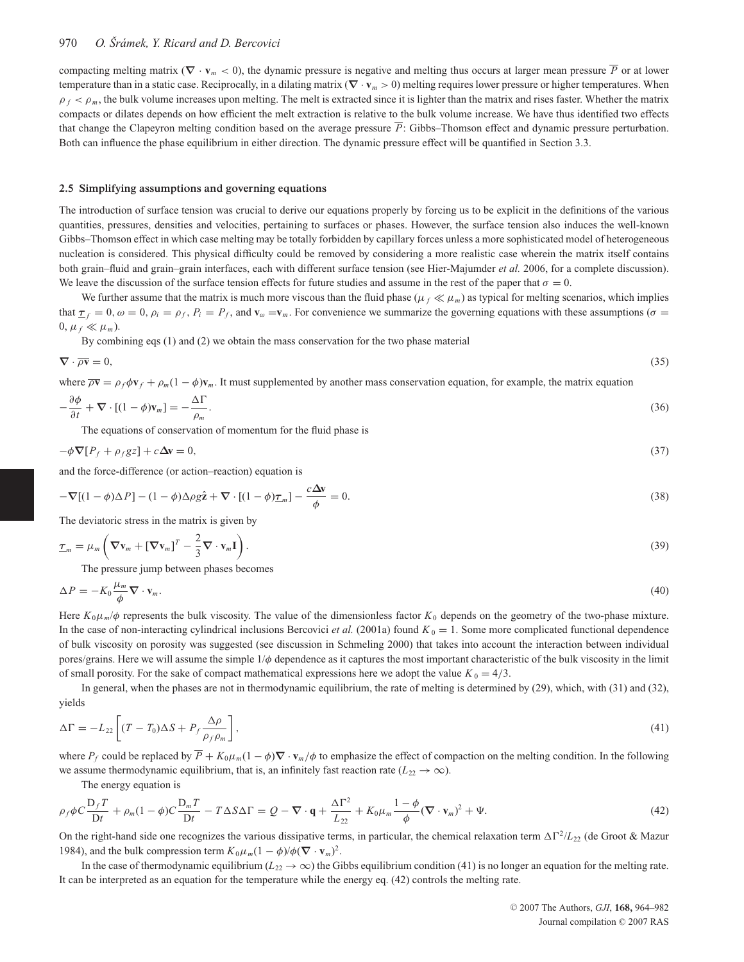compacting melting matrix ( $\nabla \cdot \mathbf{v}_m < 0$ ), the dynamic pressure is negative and melting thus occurs at larger mean pressure  $\overline{P}$  or at lower temperature than in a static case. Reciprocally, in a dilating matrix (∇ · **v***<sup>m</sup>* > 0) melting requires lower pressure or higher temperatures. When  $\rho_f < \rho_m$ , the bulk volume increases upon melting. The melt is extracted since it is lighter than the matrix and rises faster. Whether the matrix compacts or dilates depends on how efficient the melt extraction is relative to the bulk volume increase. We have thus identified two effects that change the Clapeyron melting condition based on the average pressure *P*: Gibbs–Thomson effect and dynamic pressure perturbation. Both can influence the phase equilibrium in either direction. The dynamic pressure effect will be quantified in Section 3.3.

#### **2.5 Simplifying assumptions and governing equations**

The introduction of surface tension was crucial to derive our equations properly by forcing us to be explicit in the definitions of the various quantities, pressures, densities and velocities, pertaining to surfaces or phases. However, the surface tension also induces the well-known Gibbs–Thomson effect in which case melting may be totally forbidden by capillary forces unless a more sophisticated model of heterogeneous nucleation is considered. This physical difficulty could be removed by considering a more realistic case wherein the matrix itself contains both grain–fluid and grain–grain interfaces, each with different surface tension (see Hier-Majumder *et al.* 2006, for a complete discussion). We leave the discussion of the surface tension effects for future studies and assume in the rest of the paper that  $\sigma = 0$ .

We further assume that the matrix is much more viscous than the fluid phase ( $\mu_f \ll \mu_m$ ) as typical for melting scenarios, which implies that  $\tau_f = 0$ ,  $\omega = 0$ ,  $\rho_i = \rho_f$ ,  $P_i = P_f$ , and  $\mathbf{v}_\omega = \mathbf{v}_m$ . For convenience we summarize the governing equations with these assumptions ( $\sigma =$  $0, \mu_f \ll \mu_m$ ).

By combining eqs (1) and (2) we obtain the mass conservation for the two phase material

$$
\nabla \cdot \overline{\rho v} = 0,\tag{35}
$$

where  $\overline{\rho v} = \rho_f \phi v_f + \rho_m (1 - \phi) v_m$ . It must supplemented by another mass conservation equation, for example, the matrix equation

$$
-\frac{\partial \phi}{\partial t} + \nabla \cdot [(1 - \phi)\mathbf{v}_m] = -\frac{\Delta \Gamma}{\rho_m}.
$$
\n(36)

The equations of conservation of momentum for the fluid phase is

$$
-\phi \nabla [P_f + \rho_f g z] + c \Delta v = 0, \tag{37}
$$

and the force-difference (or action–reaction) equation is

$$
-\nabla[(1-\phi)\Delta P] - (1-\phi)\Delta\rho g\hat{\mathbf{z}} + \nabla \cdot [(1-\phi)\underline{\tau}_m] - \frac{c\Delta \mathbf{v}}{\phi} = 0.
$$
\n(38)

The deviatoric stress in the matrix is given by

$$
\underline{\tau}_m = \mu_m \left( \nabla \mathbf{v}_m + [\nabla \mathbf{v}_m]^T - \frac{2}{3} \nabla \cdot \mathbf{v}_m \mathbf{I} \right).
$$
\n(39)

The pressure jump between phases becomes

$$
\Delta P = -K_0 \frac{\mu_m}{\phi} \nabla \cdot \mathbf{v}_m. \tag{40}
$$

Here  $K_0\mu_m/\phi$  represents the bulk viscosity. The value of the dimensionless factor  $K_0$  depends on the geometry of the two-phase mixture. In the case of non-interacting cylindrical inclusions Bercovici *et al.* (2001a) found  $K_0 = 1$ . Some more complicated functional dependence of bulk viscosity on porosity was suggested (see discussion in Schmeling 2000) that takes into account the interaction between individual pores/grains. Here we will assume the simple  $1/\phi$  dependence as it captures the most important characteristic of the bulk viscosity in the limit of small porosity. For the sake of compact mathematical expressions here we adopt the value  $K_0 = 4/3$ .

In general, when the phases are not in thermodynamic equilibrium, the rate of melting is determined by (29), which, with (31) and (32), yields

$$
\Delta \Gamma = -L_{22} \left[ (T - T_0) \Delta S + P_f \frac{\Delta \rho}{\rho_f \rho_m} \right],\tag{41}
$$

where  $P_f$  could be replaced by  $\overline{P} + K_0 \mu_m (1 - \phi) \nabla \cdot \mathbf{v}_m / \phi$  to emphasize the effect of compaction on the melting condition. In the following we assume thermodynamic equilibrium, that is, an infinitely fast reaction rate ( $L_{22} \rightarrow \infty$ ).

The energy equation is

$$
\rho_f \phi C \frac{D_f T}{Dt} + \rho_m (1 - \phi) C \frac{D_m T}{Dt} - T \Delta S \Delta \Gamma = Q - \nabla \cdot \mathbf{q} + \frac{\Delta \Gamma^2}{L_{22}} + K_0 \mu_m \frac{1 - \phi}{\phi} (\nabla \cdot \mathbf{v}_m)^2 + \Psi. \tag{42}
$$

On the right-hand side one recognizes the various dissipative terms, in particular, the chemical relaxation term  $\Delta \Gamma^2 / L_{22}$  (de Groot & Mazur 1984), and the bulk compression term  $K_0\mu_m(1 - \phi)/\phi(\nabla \cdot \mathbf{v}_m)^2$ .

In the case of thermodynamic equilibrium ( $L_{22} \rightarrow \infty$ ) the Gibbs equilibrium condition (41) is no longer an equation for the melting rate. It can be interpreted as an equation for the temperature while the energy eq. (42) controls the melting rate.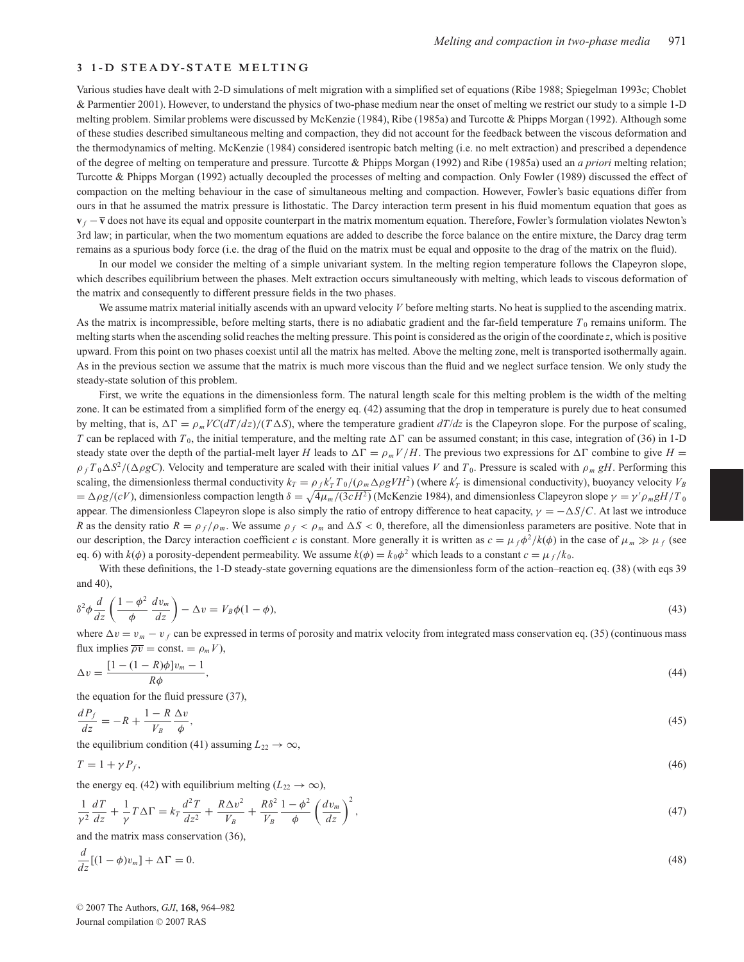## **3 1 - D S T E A DY- S TAT E M E LT I N G**

Various studies have dealt with 2-D simulations of melt migration with a simplified set of equations (Ribe 1988; Spiegelman 1993c; Choblet & Parmentier 2001). However, to understand the physics of two-phase medium near the onset of melting we restrict our study to a simple 1-D melting problem. Similar problems were discussed by McKenzie (1984), Ribe (1985a) and Turcotte & Phipps Morgan (1992). Although some of these studies described simultaneous melting and compaction, they did not account for the feedback between the viscous deformation and the thermodynamics of melting. McKenzie (1984) considered isentropic batch melting (i.e. no melt extraction) and prescribed a dependence of the degree of melting on temperature and pressure. Turcotte & Phipps Morgan (1992) and Ribe (1985a) used an *a priori* melting relation; Turcotte & Phipps Morgan (1992) actually decoupled the processes of melting and compaction. Only Fowler (1989) discussed the effect of compaction on the melting behaviour in the case of simultaneous melting and compaction. However, Fowler's basic equations differ from ours in that he assumed the matrix pressure is lithostatic. The Darcy interaction term present in his fluid momentum equation that goes as  $\mathbf{v}_f - \overline{\mathbf{v}}$  does not have its equal and opposite counterpart in the matrix momentum equation. Therefore, Fowler's formulation violates Newton's 3rd law; in particular, when the two momentum equations are added to describe the force balance on the entire mixture, the Darcy drag term remains as a spurious body force (i.e. the drag of the fluid on the matrix must be equal and opposite to the drag of the matrix on the fluid).

In our model we consider the melting of a simple univariant system. In the melting region temperature follows the Clapeyron slope, which describes equilibrium between the phases. Melt extraction occurs simultaneously with melting, which leads to viscous deformation of the matrix and consequently to different pressure fields in the two phases.

We assume matrix material initially ascends with an upward velocity *V* before melting starts. No heat is supplied to the ascending matrix. As the matrix is incompressible, before melting starts, there is no adiabatic gradient and the far-field temperature  $T_0$  remains uniform. The melting starts when the ascending solid reaches the melting pressure. This point is considered as the origin of the coordinate *z*, which is positive upward. From this point on two phases coexist until all the matrix has melted. Above the melting zone, melt is transported isothermally again. As in the previous section we assume that the matrix is much more viscous than the fluid and we neglect surface tension. We only study the steady-state solution of this problem.

First, we write the equations in the dimensionless form. The natural length scale for this melting problem is the width of the melting zone. It can be estimated from a simplified form of the energy eq. (42) assuming that the drop in temperature is purely due to heat consumed by melting, that is,  $\Delta \Gamma = \rho_m V C (dT/dz)/(T \Delta S)$ , where the temperature gradient  $dT/dz$  is the Clapeyron slope. For the purpose of scaling, *T* can be replaced with  $T_0$ , the initial temperature, and the melting rate  $\Delta \Gamma$  can be assumed constant; in this case, integration of (36) in 1-D steady state over the depth of the partial-melt layer *H* leads to  $\Delta \Gamma = \rho_m V / H$ . The previous two expressions for  $\Delta \Gamma$  combine to give *H* =  $\rho_f T_0 \Delta S^2/(\Delta \rho g C)$ . Velocity and temperature are scaled with their initial values *V* and  $T_0$ . Pressure is scaled with  $\rho_m g H$ . Performing this scaling, the dimensionless thermal conductivity  $k_T = \rho_f k'_T T_0/(\rho_m \Delta \rho g V H^2)$  (where  $k'_T$  is dimensional conductivity), buoyancy velocity  $V_B$  $= \Delta \rho g/(cV)$ , dimensionless compaction length  $\delta = \sqrt{4\mu_m/(3cH^2)}$  (McKenzie 1984), and dimensionless Clapeyron slope  $\gamma = \gamma' \rho_m g H/T_0$ appear. The dimensionless Clapeyron slope is also simply the ratio of entropy difference to heat capacity,  $\gamma = -\Delta S/C$ . At last we introduce *R* as the density ratio  $R = \frac{\rho_f}{\rho_m}$ . We assume  $\rho_f < \rho_m$  and  $\Delta S < 0$ , therefore, all the dimensionless parameters are positive. Note that in our description, the Darcy interaction coefficient *c* is constant. More generally it is written as  $c = \mu_f \phi^2 / k(\phi)$  in the case of  $\mu_m \gg \mu_f$  (see eq. 6) with  $k(\phi)$  a porosity-dependent permeability. We assume  $k(\phi) = k_0 \phi^2$  which leads to a constant  $c = \mu_f/k_0$ .

With these definitions, the 1-D steady-state governing equations are the dimensionless form of the action–reaction eq. (38) (with eqs 39 and 40),

$$
\delta^2 \phi \frac{d}{dz} \left( \frac{1 - \phi^2}{\phi} \frac{dv_m}{dz} \right) - \Delta v = V_B \phi (1 - \phi),\tag{43}
$$

where  $\Delta v = v_m - v_f$  can be expressed in terms of porosity and matrix velocity from integrated mass conservation eq. (35) (continuous mass flux implies  $\overline{\rho v}$  = const. =  $\rho_m V$ ),

$$
\Delta v = \frac{[1 - (1 - R)\phi]v_m - 1}{R\phi},\tag{44}
$$

the equation for the fluid pressure (37),

$$
\frac{dP_f}{dz} = -R + \frac{1 - R}{V_B} \frac{\Delta v}{\phi},\tag{45}
$$

the equilibrium condition (41) assuming  $L_{22} \rightarrow \infty$ ,

$$
T = 1 + \gamma P_f,\tag{46}
$$

the energy eq. (42) with equilibrium melting ( $L_{22} \rightarrow \infty$ ),

$$
\frac{1}{\gamma^2} \frac{dT}{dz} + \frac{1}{\gamma} T \Delta \Gamma = k_T \frac{d^2 T}{dz^2} + \frac{R \Delta v^2}{V_B} + \frac{R \delta^2}{V_B} \frac{1 - \phi^2}{\phi} \left(\frac{dv_m}{dz}\right)^2,\tag{47}
$$

and the matrix mass conservation (36),

$$
\frac{d}{dz}\left[(1-\phi)v_m\right] + \Delta\Gamma = 0.\tag{48}
$$

© 2007 The Authors, *GJI*, **168**, 964–982 Journal compilation  $©$  2007 RAS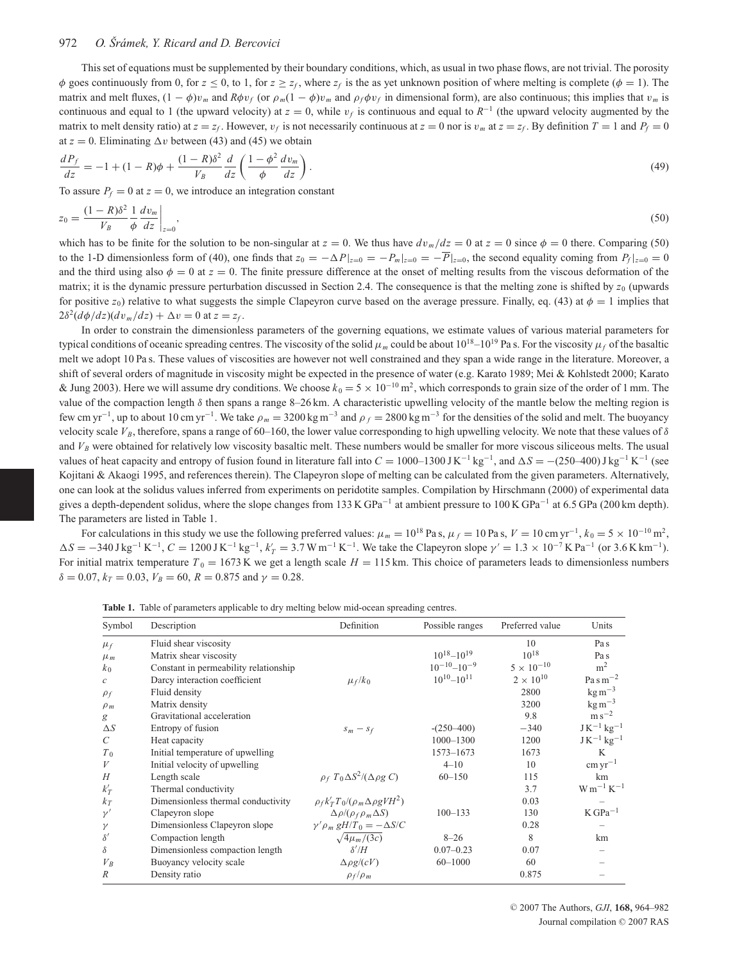This set of equations must be supplemented by their boundary conditions, which, as usual in two phase flows, are not trivial. The porosity  $\phi$  goes continuously from 0, for  $z \le 0$ , to 1, for  $z \ge z_f$ , where  $z_f$  is the as yet unknown position of where melting is complete ( $\phi = 1$ ). The matrix and melt fluxes,  $(1 - \phi)v_m$  and  $R\phi v_f$  (or  $\rho_m(1 - \phi)v_m$  and  $\rho_f \phi v_f$  in dimensional form), are also continuous; this implies that  $v_m$  is continuous and equal to 1 (the upward velocity) at  $z = 0$ , while  $v_f$  is continuous and equal to  $R^{-1}$  (the upward velocity augmented by the matrix to melt density ratio) at  $z = z_f$ . However,  $v_f$  is not necessarily continuous at  $z = 0$  nor is  $v_m$  at  $z = z_f$ . By definition  $T = 1$  and  $P_f = 0$ at  $z = 0$ . Eliminating  $\Delta v$  between (43) and (45) we obtain

$$
\frac{dP_f}{dz} = -1 + (1 - R)\phi + \frac{(1 - R)\delta^2}{V_B} \frac{d}{dz} \left(\frac{1 - \phi^2}{\phi} \frac{dv_m}{dz}\right). \tag{49}
$$

To assure  $P_f = 0$  at  $z = 0$ , we introduce an integration constant

$$
z_0 = \frac{(1 - R)\delta^2}{V_B} \frac{1}{\phi} \frac{dv_m}{dz} \bigg|_{z=0},\tag{50}
$$

which has to be finite for the solution to be non-singular at  $z = 0$ . We thus have  $dv_m/dz = 0$  at  $z = 0$  since  $\phi = 0$  there. Comparing (50) to the 1-D dimensionless form of (40), one finds that  $z_0 = -\Delta P|_{z=0} = -P_m|_{z=0} = -\overline{P}|_{z=0}$ , the second equality coming from  $P_f|_{z=0} = 0$ and the third using also  $\phi = 0$  at  $z = 0$ . The finite pressure difference at the onset of melting results from the viscous deformation of the matrix; it is the dynamic pressure perturbation discussed in Section 2.4. The consequence is that the melting zone is shifted by  $z_0$  (upwards for positive  $z_0$ ) relative to what suggests the simple Clapeyron curve based on the average pressure. Finally, eq. (43) at  $\phi = 1$  implies that  $2\delta^2(d\phi/dz)(dv_m/dz) + \Delta v = 0$  at  $z = z_f$ .

In order to constrain the dimensionless parameters of the governing equations, we estimate values of various material parameters for typical conditions of oceanic spreading centres. The viscosity of the solid  $\mu_m$  could be about  $10^{18}-10^{19}$  Pa s. For the viscosity  $\mu_f$  of the basaltic melt we adopt 10 Pa s. These values of viscosities are however not well constrained and they span a wide range in the literature. Moreover, a shift of several orders of magnitude in viscosity might be expected in the presence of water (e.g. Karato 1989; Mei & Kohlstedt 2000; Karato & Jung 2003). Here we will assume dry conditions. We choose  $k_0 = 5 \times 10^{-10}$  m<sup>2</sup>, which corresponds to grain size of the order of 1 mm. The value of the compaction length  $\delta$  then spans a range 8–26 km. A characteristic upwelling velocity of the mantle below the melting region is few cm yr<sup>−1</sup>, up to about 10 cm yr<sup>−1</sup>. We take  $ρ_m = 3200 \text{ kg m}^{-3}$  and  $ρ_f = 2800 \text{ kg m}^{-3}$  for the densities of the solid and melt. The buoyancy velocity scale  $V_B$ , therefore, spans a range of 60–160, the lower value corresponding to high upwelling velocity. We note that these values of  $\delta$ and  $V_B$  were obtained for relatively low viscosity basaltic melt. These numbers would be smaller for more viscous siliceous melts. The usual values of heat capacity and entropy of fusion found in literature fall into  $C = 1000-1300 \text{ J K}^{-1} \text{ kg}^{-1}$ , and  $\Delta S = -(250-400) \text{ J kg}^{-1} \text{ K}^{-1}$  (see Kojitani & Akaogi 1995, and references therein). The Clapeyron slope of melting can be calculated from the given parameters. Alternatively, one can look at the solidus values inferred from experiments on peridotite samples. Compilation by Hirschmann (2000) of experimental data gives a depth-dependent solidus, where the slope changes from 133 K GPa<sup>-1</sup> at ambient pressure to 100 K GPa<sup>-1</sup> at 6.5 GPa (200 km depth). The parameters are listed in Table 1.

For calculations in this study we use the following preferred values:  $\mu_m = 10^{18}$  Pas,  $\mu_f = 10$  Pas,  $V = 10$  cm yr<sup>-1</sup>,  $k_0 = 5 \times 10^{-10}$  m<sup>2</sup>,  $\Delta S = -340 \text{ J kg}^{-1} \text{ K}^{-1}$ ,  $C = 1200 \text{ J K}^{-1} \text{ kg}^{-1}$ ,  $k'_T = 3.7 \text{ W m}^{-1} \text{ K}^{-1}$ . We take the Clapeyron slope  $\gamma' = 1.3 \times 10^{-7} \text{ K Pa}^{-1}$  (or 3.6 K km<sup>-1</sup>). For initial matrix temperature  $T_0 = 1673$  K we get a length scale  $H = 115$  km. This choice of parameters leads to dimensionless numbers  $\delta = 0.07, k_T = 0.03, V_B = 60, R = 0.875 \text{ and } \gamma = 0.28.$ 

| Symbol                | Description                           | Definition                                             | Possible ranges      | Preferred value     | Units                                      |
|-----------------------|---------------------------------------|--------------------------------------------------------|----------------------|---------------------|--------------------------------------------|
| $\mu_f$               | Fluid shear viscosity                 |                                                        |                      | 10                  | Pa <sub>s</sub>                            |
| $\mu_m$               | Matrix shear viscosity                |                                                        | $10^{18} - 10^{19}$  | $10^{18}$           | Pa <sub>s</sub>                            |
| $k_0$                 | Constant in permeability relationship |                                                        | $10^{-10} - 10^{-9}$ | $5 \times 10^{-10}$ | m <sup>2</sup>                             |
| $\mathcal{C}$         | Darcy interaction coefficient         | $\mu_f/k_0$                                            | $10^{10} - 10^{11}$  | $2 \times 10^{10}$  | $\mathrm{Pa}\,\mathrm{s}\,\mathrm{m}^{-2}$ |
| $\rho_f$              | Fluid density                         |                                                        |                      | 2800                | $\text{kg m}^{-3}$                         |
| $\rho_m$              | Matrix density                        |                                                        |                      | 3200                | $\text{kg m}^{-3}$                         |
| g                     | Gravitational acceleration            |                                                        |                      | 9.8                 | $\mathrm{m}\,\mathrm{s}^{-2}$              |
| $\Delta S$            | Entropy of fusion                     | $s_m - s_f$                                            | $-(250-400)$         | $-340$              | $J K^{-1} kg^{-1}$                         |
| $\mathcal{C}_{0}^{0}$ | Heat capacity                         |                                                        | 1000-1300            | 1200                | $JK^{-1}kg^{-1}$                           |
| T <sub>0</sub>        | Initial temperature of upwelling      |                                                        | 1573-1673            | 1673                | K                                          |
| V                     | Initial velocity of upwelling         |                                                        | $4 - 10$             | 10                  | $cm \, yr^{-1}$                            |
| H                     | Length scale                          | $\rho_f$ T <sub>0</sub> $\Delta S^2/(\Delta \rho g C)$ | $60 - 150$           | 115                 | km                                         |
| $k_T'$                | Thermal conductivity                  |                                                        |                      | 3.7                 | $\rm W\,m^{-1}\,K^{-1}$                    |
| $k_T$                 | Dimensionless thermal conductivity    | $\rho_f k'_T T_0/(\rho_m \Delta \rho g V H^2)$         |                      | 0.03                |                                            |
| $\gamma'$             | Clapeyron slope                       | $\Delta \rho / (\rho_f \rho_m \Delta S)$               | $100 - 133$          | 130                 | $K GPa^{-1}$                               |
| $\gamma$              | Dimensionless Clapeyron slope         | $\gamma' \rho_m g H/T_0 = -\Delta S/C$                 |                      | 0.28                |                                            |
| $\delta'$             | Compaction length                     | $\sqrt{4\mu_m/(3c)}$                                   | $8 - 26$             | 8                   | km                                         |
| δ                     | Dimensionless compaction length       | $\delta^{\prime}/H$                                    | $0.07 - 0.23$        | 0.07                |                                            |
| $V_B$                 | Buoyancy velocity scale               | $\Delta \rho g/(cV)$                                   | $60 - 1000$          | 60                  |                                            |
| $\mathbb{R}$          | Density ratio                         | $\rho_f/\rho_m$                                        |                      | 0.875               |                                            |

**Table 1.** Table of parameters applicable to dry melting below mid-ocean spreading centres.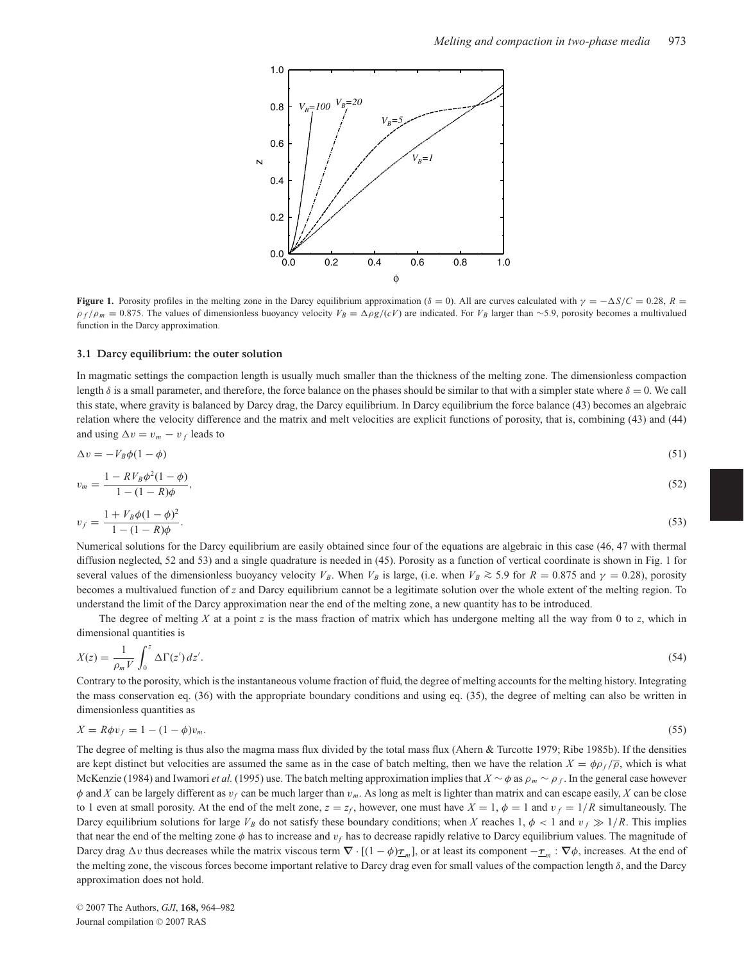

**Figure 1.** Porosity profiles in the melting zone in the Darcy equilibrium approximation ( $\delta = 0$ ). All are curves calculated with  $\gamma = -\Delta S/C = 0.28$ ,  $R =$  $\rho_f / \rho_m = 0.875$ . The values of dimensionless buoyancy velocity  $V_B = \Delta \rho g / (cV)$  are indicated. For  $V_B$  larger than ∼5.9, porosity becomes a multivalued function in the Darcy approximation.

## **3.1 Darcy equilibrium: the outer solution**

In magmatic settings the compaction length is usually much smaller than the thickness of the melting zone. The dimensionless compaction length  $\delta$  is a small parameter, and therefore, the force balance on the phases should be similar to that with a simpler state where  $\delta = 0$ . We call this state, where gravity is balanced by Darcy drag, the Darcy equilibrium. In Darcy equilibrium the force balance (43) becomes an algebraic relation where the velocity difference and the matrix and melt velocities are explicit functions of porosity, that is, combining (43) and (44) and using  $\Delta v = v_m - v_f$  leads to

$$
\Delta v = -V_B \phi (1 - \phi) \tag{51}
$$

$$
v_m = \frac{1 - R V_B \phi^2 (1 - \phi)}{1 - (1 - R) \phi},\tag{52}
$$

$$
v_m = \frac{1 + V_B \phi (1 - \phi)}{1 - (1 - R)\phi},
$$
  
\n
$$
v_f = \frac{1 + V_B \phi (1 - \phi)^2}{1 - (1 - R)\phi}.
$$
\n(53)

Numerical solutions for the Darcy equilibrium are easily obtained since four of the equations are algebraic in this case (46, 47 with thermal diffusion neglected, 52 and 53) and a single quadrature is needed in (45). Porosity as a function of vertical coordinate is shown in Fig. 1 for several values of the dimensionless buoyancy velocity  $V_B$ . When  $V_B$  is large, (i.e. when  $V_B \approx 5.9$  for  $R = 0.875$  and  $\gamma = 0.28$ ), porosity becomes a multivalued function of *z* and Darcy equilibrium cannot be a legitimate solution over the whole extent of the melting region. To understand the limit of the Darcy approximation near the end of the melting zone, a new quantity has to be introduced.

The degree of melting *X* at a point *z* is the mass fraction of matrix which has undergone melting all the way from 0 to *z*, which in dimensional quantities is

$$
X(z) = \frac{1}{\rho_m V} \int_0^z \Delta \Gamma(z') dz'.
$$
\n(54)

Contrary to the porosity, which is the instantaneous volume fraction of fluid, the degree of melting accounts for the melting history. Integrating the mass conservation eq. (36) with the appropriate boundary conditions and using eq. (35), the degree of melting can also be written in dimensionless quantities as

$$
X = R\phi v_f = 1 - (1 - \phi)v_m. \tag{55}
$$

The degree of melting is thus also the magma mass flux divided by the total mass flux (Ahern & Turcotte 1979; Ribe 1985b). If the densities are kept distinct but velocities are assumed the same as in the case of batch melting, then we have the relation  $X = \phi \rho_f / \overline{\rho}$ , which is what McKenzie (1984) and Iwamori *et al.* (1995) use. The batch melting approximation implies that  $X \sim \phi$  as  $\rho_m \sim \rho_f$ . In the general case however  $\phi$  and *X* can be largely different as  $v_f$  can be much larger than  $v_m$ . As long as melt is lighter than matrix and can escape easily, *X* can be close to 1 even at small porosity. At the end of the melt zone,  $z = z_f$ , however, one must have  $X = 1$ ,  $\phi = 1$  and  $v_f = 1/R$  simultaneously. The Darcy equilibrium solutions for large  $V_B$  do not satisfy these boundary conditions; when *X* reaches 1,  $\phi$  < 1 and  $v_f \gg 1/R$ . This implies that near the end of the melting zone  $\phi$  has to increase and  $v_f$  has to decrease rapidly relative to Darcy equilibrium values. The magnitude of Darcy drag  $\Delta v$  thus decreases while the matrix viscous term  $\nabla \cdot [(1 - \phi) \tau_m]$ , or at least its component  $-\tau_m : \nabla \phi$ , increases. At the end of the melting zone, the viscous forces become important relative to Darcy drag even for small values of the compaction length  $\delta$ , and the Darcy approximation does not hold.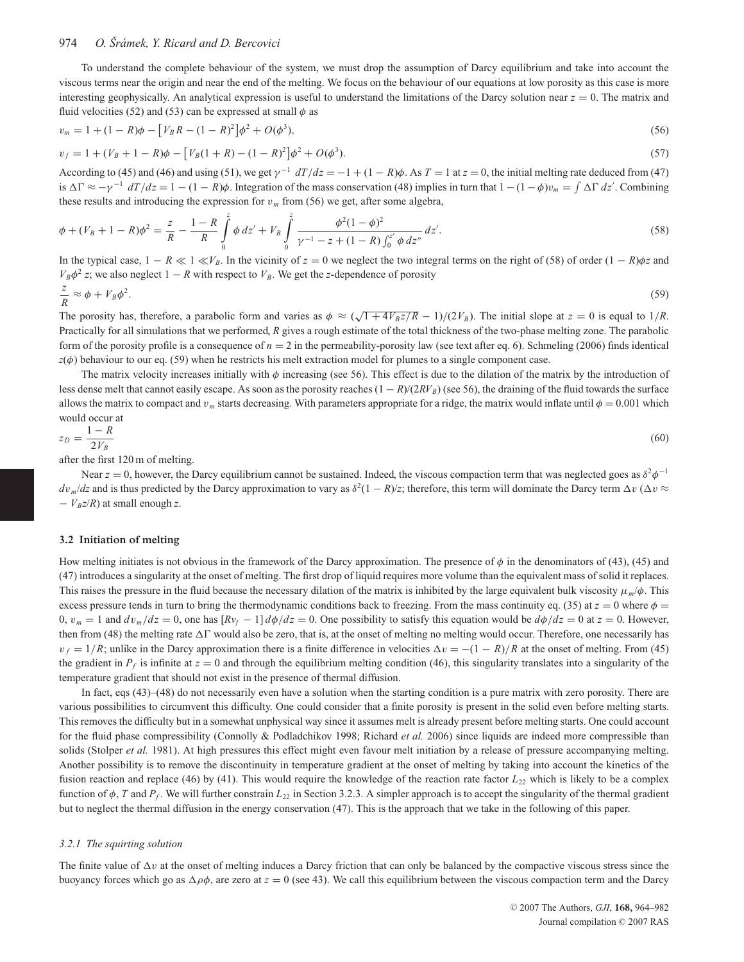To understand the complete behaviour of the system, we must drop the assumption of Darcy equilibrium and take into account the viscous terms near the origin and near the end of the melting. We focus on the behaviour of our equations at low porosity as this case is more interesting geophysically. An analytical expression is useful to understand the limitations of the Darcy solution near  $z = 0$ . The matrix and fluid velocities (52) and (53) can be expressed at small  $\phi$  as

$$
v_m = 1 + (1 - R)\phi - \left[V_B R - (1 - R)^2\right]\phi^2 + O(\phi^3),\tag{56}
$$

$$
v_f = 1 + (V_B + 1 - R)\phi - [V_B(1 + R) - (1 - R)^2]\phi^2 + O(\phi^3). \tag{57}
$$

According to (45) and (46) and using (51), we get  $\gamma^{-1} dT/dz = -1 + (1 - R)\phi$ . As  $T = 1$  at  $z = 0$ , the initial melting rate deduced from (47) is  $\Delta \Gamma \approx -\gamma^{-1} dT/dz = 1 - (1 - R)\phi$ . Integration of the mass conservation (48) implies in turn that  $1 - (1 - \phi)v_m = \int \Delta \Gamma dz'$ . Combining these results and introducing the expression for  $v_m$  from (56) we get, after some algebra,

$$
\phi + (V_B + 1 - R)\phi^2 = \frac{z}{R} - \frac{1 - R}{R} \int_0^z \phi \, dz' + V_B \int_0^z \frac{\phi^2 (1 - \phi)^2}{\gamma^{-1} - z + (1 - R) \int_0^{z'} \phi \, dz''} \, dz'.
$$
\n
$$
\tag{58}
$$

In the typical case,  $1 - R \ll 1 \ll V_B$ . In the vicinity of  $z = 0$  we neglect the two integral terms on the right of (58) of order  $(1 - R)\phi z$  and  $V_B \phi^2 z$ ; we also neglect 1 − *R* with respect to  $V_B$ . We get the *z*-dependence of porosity

$$
\frac{z}{R} \approx \phi + V_B \phi^2. \tag{59}
$$

The porosity has, therefore, a parabolic form and varies as  $\phi \approx (\sqrt{1+4V_B z/R} - 1)/(2V_B)$ . The initial slope at  $z = 0$  is equal to  $1/R$ . Practically for all simulations that we performed, *R* gives a rough estimate of the total thickness of the two-phase melting zone. The parabolic form of the porosity profile is a consequence of  $n = 2$  in the permeability-porosity law (see text after eq. 6). Schmeling (2006) finds identical  $z(\phi)$  behaviour to our eq. (59) when he restricts his melt extraction model for plumes to a single component case.

The matrix velocity increases initially with  $\phi$  increasing (see 56). This effect is due to the dilation of the matrix by the introduction of less dense melt that cannot easily escape. As soon as the porosity reaches  $(1 - R)/(2RV_B)$  (see 56), the draining of the fluid towards the surface allows the matrix to compact and  $v_m$  starts decreasing. With parameters appropriate for a ridge, the matrix would inflate until  $\phi = 0.001$  which would occur at

$$
z_D = \frac{1 - R}{2V_B} \tag{60}
$$

after the first 120 m of melting.

Near  $z = 0$ , however, the Darcy equilibrium cannot be sustained. Indeed, the viscous compaction term that was neglected goes as  $\delta^2 \phi^{-1}$  $dv_m/dz$  and is thus predicted by the Darcy approximation to vary as  $\delta^2(1 - R)/z$ ; therefore, this term will dominate the Darcy term  $\Delta v$  ( $\Delta v \approx$ − *VBz*/*R*) at small enough *z*.

#### **3.2 Initiation of melting**

How melting initiates is not obvious in the framework of the Darcy approximation. The presence of  $\phi$  in the denominators of (43), (45) and (47) introduces a singularity at the onset of melting. The first drop of liquid requires more volume than the equivalent mass of solid it replaces. This raises the pressure in the fluid because the necessary dilation of the matrix is inhibited by the large equivalent bulk viscosity  $\mu_m/\phi$ . This excess pressure tends in turn to bring the thermodynamic conditions back to freezing. From the mass continuity eq. (35) at  $z = 0$  where  $\phi =$  $0, v_m = 1$  and  $dv_m/dz = 0$ , one has  $\left[\frac{Rv_f}{1}\right]$   $\frac{d\phi}{dz} = 0$ . One possibility to satisfy this equation would be  $\frac{d\phi}{dz} = 0$  at  $z = 0$ . However, then from (48) the melting rate  $\Delta \Gamma$  would also be zero, that is, at the onset of melting no melting would occur. Therefore, one necessarily has  $v_f = 1/R$ ; unlike in the Darcy approximation there is a finite difference in velocities  $\Delta v = -(1 - R)/R$  at the onset of melting. From (45) the gradient in  $P_f$  is infinite at  $z = 0$  and through the equilibrium melting condition (46), this singularity translates into a singularity of the temperature gradient that should not exist in the presence of thermal diffusion.

In fact, eqs (43)–(48) do not necessarily even have a solution when the starting condition is a pure matrix with zero porosity. There are various possibilities to circumvent this difficulty. One could consider that a finite porosity is present in the solid even before melting starts. This removes the difficulty but in a somewhat unphysical way since it assumes melt is already present before melting starts. One could account for the fluid phase compressibility (Connolly & Podladchikov 1998; Richard *et al.* 2006) since liquids are indeed more compressible than solids (Stolper *et al.* 1981). At high pressures this effect might even favour melt initiation by a release of pressure accompanying melting. Another possibility is to remove the discontinuity in temperature gradient at the onset of melting by taking into account the kinetics of the fusion reaction and replace (46) by (41). This would require the knowledge of the reaction rate factor *L*<sup>22</sup> which is likely to be a complex function of  $\phi$ , *T* and  $P_f$ . We will further constrain  $L_{22}$  in Section 3.2.3. A simpler approach is to accept the singularity of the thermal gradient but to neglect the thermal diffusion in the energy conservation (47). This is the approach that we take in the following of this paper.

#### *3.2.1 The squirting solution*

The finite value of  $\Delta v$  at the onset of melting induces a Darcy friction that can only be balanced by the compactive viscous stress since the buoyancy forces which go as  $\Delta \rho \phi$ , are zero at  $z = 0$  (see 43). We call this equilibrium between the viscous compaction term and the Darcy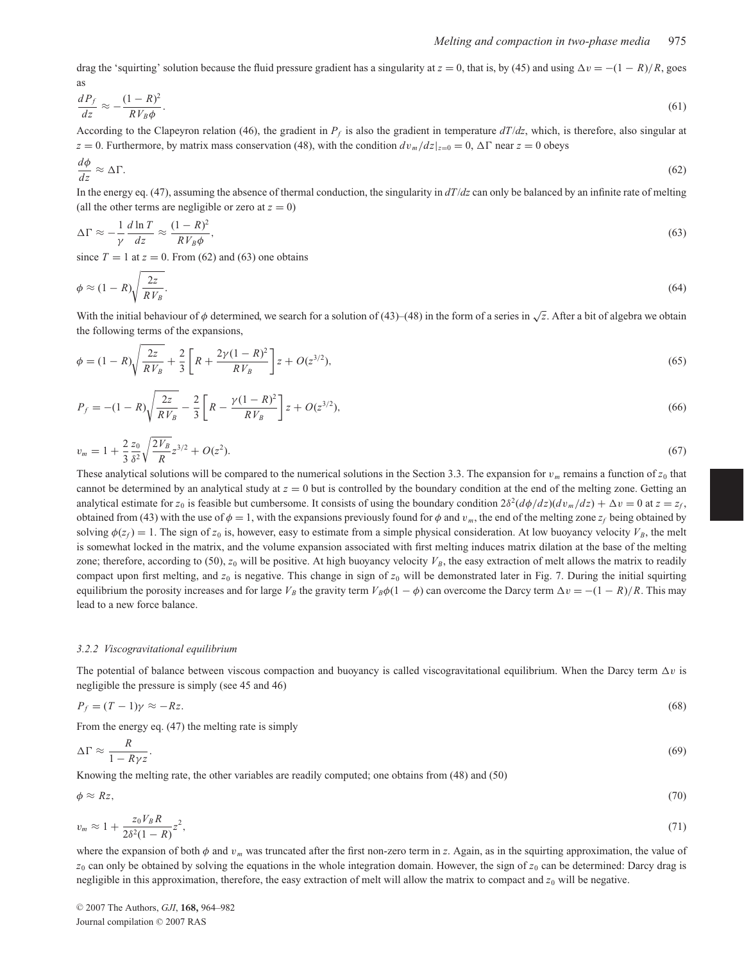drag the 'squirting' solution because the fluid pressure gradient has a singularity at  $z = 0$ , that is, by (45) and using  $\Delta v = -(1 - R)/R$ , goes as

$$
\frac{dP_f}{dz} \approx -\frac{(1-R)^2}{RV_B\phi}.\tag{61}
$$

According to the Clapeyron relation (46), the gradient in  $P_f$  is also the gradient in temperature  $dT/dz$ , which, is therefore, also singular at  $z = 0$ . Furthermore, by matrix mass conservation (48), with the condition  $dv_m/dz|_{z=0} = 0$ ,  $\Delta \Gamma$  near  $z = 0$  obeys

$$
\frac{d\phi}{dz} \approx \Delta \Gamma. \tag{62}
$$

In the energy eq. (47), assuming the absence of thermal conduction, the singularity in *dT*/*dz* can only be balanced by an infinite rate of melting (all the other terms are negligible or zero at  $z = 0$ )

$$
\Delta \Gamma \approx -\frac{1}{\gamma} \frac{d \ln T}{dz} \approx \frac{(1 - R)^2}{R V_B \phi},\tag{63}
$$

since  $T = 1$  at  $z = 0$ . From (62) and (63) one obtains

$$
\phi \approx (1 - R) \sqrt{\frac{2z}{RV_B}}.\tag{64}
$$

With the initial behaviour of  $\phi$  determined, we search for a solution of (43)–(48) in the form of a series in  $\sqrt{z}$ . After a bit of algebra we obtain the following terms of the expansions,

$$
\phi = (1 - R)\sqrt{\frac{2z}{RV_B}} + \frac{2}{3}\left[R + \frac{2\gamma(1 - R)^2}{RV_B}\right]z + O(z^{3/2}),\tag{65}
$$

$$
P_f = -(1 - R)\sqrt{\frac{2z}{RV_B}} - \frac{2}{3}\left[R - \frac{\gamma(1 - R)^2}{RV_B}\right]z + O(z^{3/2}),\tag{66}
$$

$$
v_m = 1 + \frac{2}{3} \frac{z_0}{\delta^2} \sqrt{\frac{2V_B}{R}} z^{3/2} + O(z^2). \tag{67}
$$

These analytical solutions will be compared to the numerical solutions in the Section 3.3. The expansion for  $v_m$  remains a function of  $z_0$  that cannot be determined by an analytical study at  $z = 0$  but is controlled by the boundary condition at the end of the melting zone. Getting an analytical estimate for  $z_0$  is feasible but cumbersome. It consists of using the boundary condition  $2\delta^2(d\phi/dz)(dv_m/dz) + \Delta v = 0$  at  $z = z_f$ , obtained from (43) with the use of  $\phi = 1$ , with the expansions previously found for  $\phi$  and  $v_m$ , the end of the melting zone  $z_f$  being obtained by solving  $\phi(z_f) = 1$ . The sign of  $z_0$  is, however, easy to estimate from a simple physical consideration. At low buoyancy velocity  $V_B$ , the melt is somewhat locked in the matrix, and the volume expansion associated with first melting induces matrix dilation at the base of the melting zone; therefore, according to (50),  $z_0$  will be positive. At high buoyancy velocity  $V_B$ , the easy extraction of melt allows the matrix to readily compact upon first melting, and  $z_0$  is negative. This change in sign of  $z_0$  will be demonstrated later in Fig. 7. During the initial squirting equilibrium the porosity increases and for large  $V_B$  the gravity term  $V_B\phi(1-\phi)$  can overcome the Darcy term  $\Delta v = -(1 - R)/R$ . This may lead to a new force balance.

## *3.2.2 Viscogravitational equilibrium*

The potential of balance between viscous compaction and buoyancy is called viscogravitational equilibrium. When the Darcy term  $\Delta v$  is negligible the pressure is simply (see 45 and 46)

$$
P_f = (T - 1)\gamma \approx -Rz. \tag{68}
$$

From the energy eq. (47) the melting rate is simply

$$
\Delta \Gamma \approx \frac{R}{1 - R\gamma z}.\tag{69}
$$

Knowing the melting rate, the other variables are readily computed; one obtains from (48) and (50)

$$
\phi \approx Rz,
$$
\n
$$
v_m \approx 1 + \frac{z_0 V_B R}{2\delta^2 (1 - R)} z^2,
$$
\n
$$
(70)
$$
\n
$$
(71)
$$

where the expansion of both  $\phi$  and  $v_m$  was truncated after the first non-zero term in *z*. Again, as in the squirting approximation, the value of  $z_0$  can only be obtained by solving the equations in the whole integration domain. However, the sign of  $z_0$  can be determined: Darcy drag is negligible in this approximation, therefore, the easy extraction of melt will allow the matrix to compact and  $z_0$  will be negative.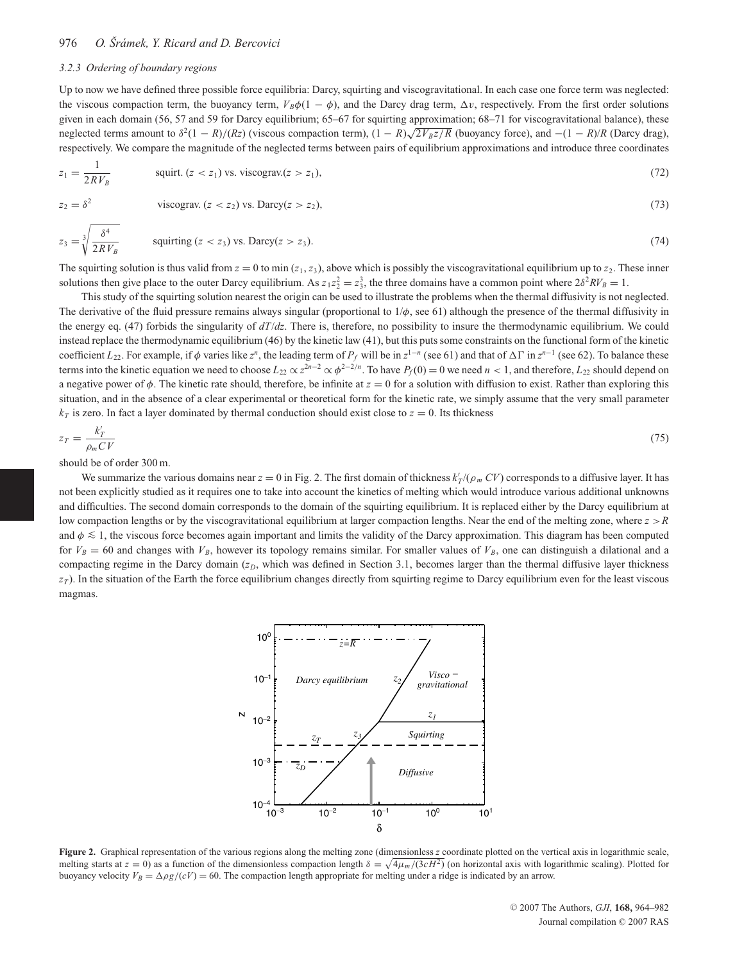#### *3.2.3 Ordering of boundary regions*

Up to now we have defined three possible force equilibria: Darcy, squirting and viscogravitational. In each case one force term was neglected: the viscous compaction term, the buoyancy term,  $V_B\phi(1-\phi)$ , and the Darcy drag term,  $\Delta v$ , respectively. From the first order solutions given in each domain (56, 57 and 59 for Darcy equilibrium; 65–67 for squirting approximation; 68–71 for viscogravitational balance), these neglected terms amount to  $\delta^2(1 - R)/(Rz)$  (viscous compaction term),  $(1 - R)\sqrt{2V_Bz/R}$  (buoyancy force), and  $-(1 - R)/R$  (Darcy drag), respectively. We compare the magnitude of the neglected terms between pairs of equilibrium approximations and introduce three coordinates

$$
z_1 = \frac{1}{2RV_B}
$$
squirt.  $(z < z_1)$  vs. viscogra $(z > z_1)$ , (72)

$$
z_2 = \delta^2 \qquad \text{viscograv.} \ (z < z_2) \ \text{vs. \ } \text{Darcy}(z > z_2), \tag{73}
$$

$$
z_3 = \sqrt[3]{\frac{\delta^4}{2RV_B}}
$$
 squriting  $(z < z_3)$  vs. Darcy $(z > z_3)$ . (74)

The squirting solution is thus valid from  $z = 0$  to min ( $z_1, z_3$ ), above which is possibly the viscogravitational equilibrium up to  $z_2$ . These inner solutions then give place to the outer Darcy equilibrium. As  $z_1 z_2^2 = z_3^3$ , the three domains have a common point where  $2\delta^2 RV_B = 1$ .

This study of the squirting solution nearest the origin can be used to illustrate the problems when the thermal diffusivity is not neglected. The derivative of the fluid pressure remains always singular (proportional to  $1/\phi$ , see 61) although the presence of the thermal diffusivity in the energy eq. (47) forbids the singularity of *dT*/*dz*. There is, therefore, no possibility to insure the thermodynamic equilibrium. We could instead replace the thermodynamic equilibrium (46) by the kinetic law (41), but this puts some constraints on the functional form of the kinetic coefficient  $L_{22}$ . For example, if  $\phi$  varies like  $z^n$ , the leading term of  $P_f$  will be in  $z^{1-n}$  (see 61) and that of  $\Delta \Gamma$  in  $z^{n-1}$  (see 62). To balance these terms into the kinetic equation we need to choose  $L_{22} \propto z^{2n-2} \propto \phi^{2-2/n}$ . To have  $P_f(0) = 0$  we need  $n < 1$ , and therefore,  $L_{22}$  should depend on a negative power of  $\phi$ . The kinetic rate should, therefore, be infinite at  $z = 0$  for a solution with diffusion to exist. Rather than exploring this situation, and in the absence of a clear experimental or theoretical form for the kinetic rate, we simply assume that the very small parameter  $k_T$  is zero. In fact a layer dominated by thermal conduction should exist close to  $z = 0$ . Its thickness

$$
z_T = \frac{k'_T}{\rho_m C V} \tag{75}
$$

should be of order 300 m.

We summarize the various domains near  $z = 0$  in Fig. 2. The first domain of thickness  $k'_T / (\rho_m CV)$  corresponds to a diffusive layer. It has not been explicitly studied as it requires one to take into account the kinetics of melting which would introduce various additional unknowns and difficulties. The second domain corresponds to the domain of the squirting equilibrium. It is replaced either by the Darcy equilibrium at low compaction lengths or by the viscogravitational equilibrium at larger compaction lengths. Near the end of the melting zone, where  $z > R$ and  $\phi \lesssim 1$ , the viscous force becomes again important and limits the validity of the Darcy approximation. This diagram has been computed for  $V_B = 60$  and changes with  $V_B$ , however its topology remains similar. For smaller values of  $V_B$ , one can distinguish a dilational and a compacting regime in the Darcy domain ( $z<sub>D</sub>$ , which was defined in Section 3.1, becomes larger than the thermal diffusive layer thickness  $z_T$ ). In the situation of the Earth the force equilibrium changes directly from squirting regime to Darcy equilibrium even for the least viscous magmas.



**Figure 2.** Graphical representation of the various regions along the melting zone (dimensionless *z* coordinate plotted on the vertical axis in logarithmic scale, melting starts at  $z = 0$ ) as a function of the dimensionless compaction length  $\delta = \sqrt{4\mu_m/(3cH^2)}$  (on horizontal axis with logarithmic scaling). Plotted for buoyancy velocity  $V_B = \Delta \rho g/(cV) = 60$ . The compaction length appropriate for melting under a ridge is indicated by an arrow.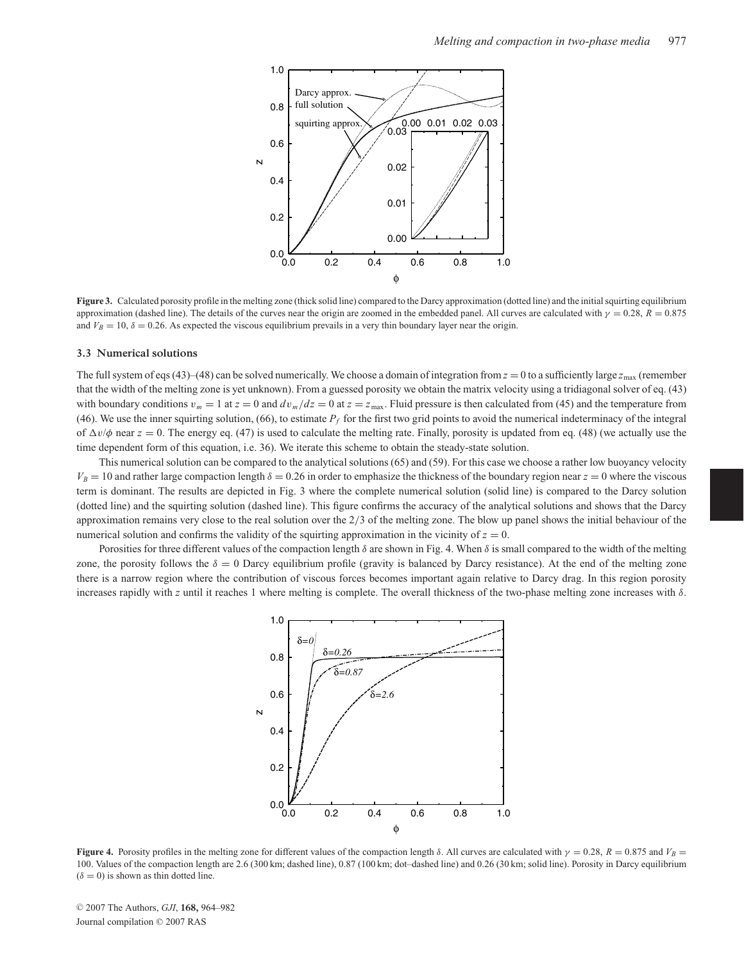

**Figure 3.** Calculated porosity profile in the melting zone (thick solid line) compared to the Darcy approximation (dotted line) and the initial squirting equilibrium approximation (dashed line). The details of the curves near the origin are zoomed in the embedded panel. All curves are calculated with  $\gamma = 0.28$ ,  $R = 0.875$ and  $V_B = 10$ ,  $\delta = 0.26$ . As expected the viscous equilibrium prevails in a very thin boundary layer near the origin.

#### **3.3 Numerical solutions**

The full system of eqs (43)–(48) can be solved numerically. We choose a domain of integration from  $z = 0$  to a sufficiently large  $z_{\text{max}}$  (remember that the width of the melting zone is yet unknown). From a guessed porosity we obtain the matrix velocity using a tridiagonal solver of eq. (43) with boundary conditions  $v_m = 1$  at  $z = 0$  and  $dv_m/dz = 0$  at  $z = z_{\text{max}}$ . Fluid pressure is then calculated from (45) and the temperature from (46). We use the inner squirting solution, (66), to estimate  $P_f$  for the first two grid points to avoid the numerical indeterminacy of the integral of  $\Delta v/\phi$  near  $z = 0$ . The energy eq. (47) is used to calculate the melting rate. Finally, porosity is updated from eq. (48) (we actually use the time dependent form of this equation, i.e. 36). We iterate this scheme to obtain the steady-state solution.

This numerical solution can be compared to the analytical solutions (65) and (59). For this case we choose a rather low buoyancy velocity  $V_B = 10$  and rather large compaction length  $\delta = 0.26$  in order to emphasize the thickness of the boundary region near  $z = 0$  where the viscous term is dominant. The results are depicted in Fig. 3 where the complete numerical solution (solid line) is compared to the Darcy solution (dotted line) and the squirting solution (dashed line). This figure confirms the accuracy of the analytical solutions and shows that the Darcy approximation remains very close to the real solution over the 2/3 of the melting zone. The blow up panel shows the initial behaviour of the numerical solution and confirms the validity of the squirting approximation in the vicinity of  $z = 0$ .

Porosities for three different values of the compaction length  $\delta$  are shown in Fig. 4. When  $\delta$  is small compared to the width of the melting zone, the porosity follows the  $\delta = 0$  Darcy equilibrium profile (gravity is balanced by Darcy resistance). At the end of the melting zone there is a narrow region where the contribution of viscous forces becomes important again relative to Darcy drag. In this region porosity increases rapidly with *z* until it reaches 1 where melting is complete. The overall thickness of the two-phase melting zone increases with δ.



**Figure 4.** Porosity profiles in the melting zone for different values of the compaction length δ. All curves are calculated with  $\gamma = 0.28$ ,  $R = 0.875$  and  $V_B$ 100. Values of the compaction length are 2.6 (300 km; dashed line), 0.87 (100 km; dot–dashed line) and 0.26 (30 km; solid line). Porosity in Darcy equilibrium  $(\delta = 0)$  is shown as thin dotted line.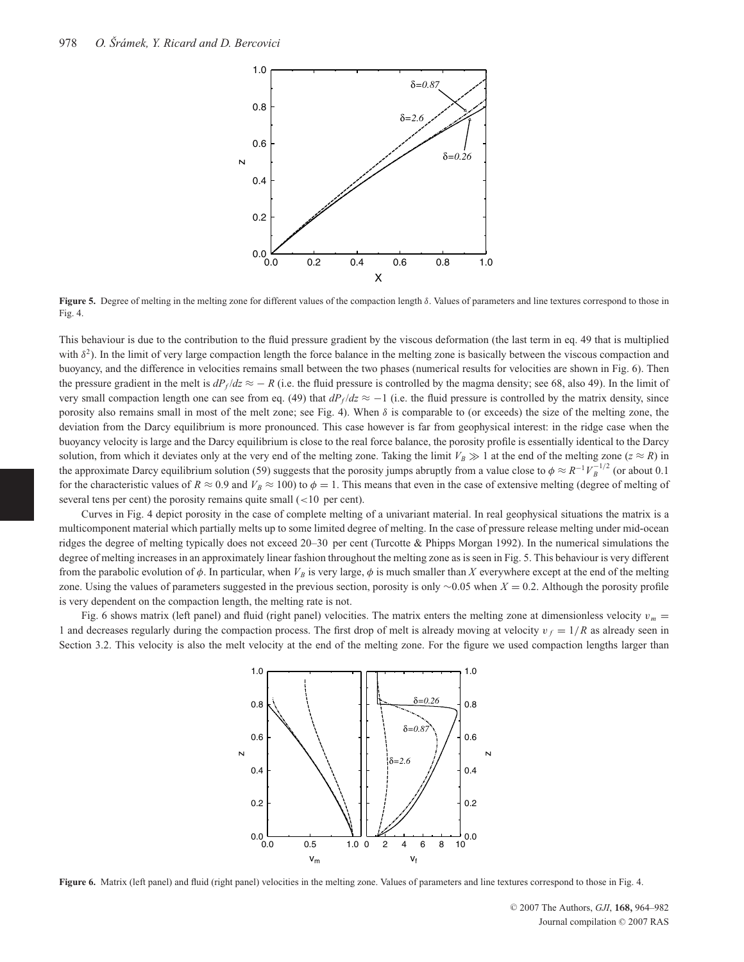

**Figure 5.** Degree of melting in the melting zone for different values of the compaction length δ. Values of parameters and line textures correspond to those in Fig. 4.

This behaviour is due to the contribution to the fluid pressure gradient by the viscous deformation (the last term in eq. 49 that is multiplied with  $\delta^2$ ). In the limit of very large compaction length the force balance in the melting zone is basically between the viscous compaction and buoyancy, and the difference in velocities remains small between the two phases (numerical results for velocities are shown in Fig. 6). Then the pressure gradient in the melt is  $dP_f/dz \approx -R$  (i.e. the fluid pressure is controlled by the magma density; see 68, also 49). In the limit of very small compaction length one can see from eq. (49) that  $dP_f/dz \approx -1$  (i.e. the fluid pressure is controlled by the matrix density, since porosity also remains small in most of the melt zone; see Fig. 4). When  $\delta$  is comparable to (or exceeds) the size of the melting zone, the deviation from the Darcy equilibrium is more pronounced. This case however is far from geophysical interest: in the ridge case when the buoyancy velocity is large and the Darcy equilibrium is close to the real force balance, the porosity profile is essentially identical to the Darcy solution, from which it deviates only at the very end of the melting zone. Taking the limit  $V_B \gg 1$  at the end of the melting zone ( $z \approx R$ ) in the approximate Darcy equilibrium solution (59) suggests that the porosity jumps abruptly from a value close to  $\phi \approx R^{-1}V_B^{-1/2}$  (or about 0.1 for the characteristic values of  $R \approx 0.9$  and  $V_B \approx 100$ ) to  $\phi = 1$ . This means that even in the case of extensive melting (degree of melting of several tens per cent) the porosity remains quite small (<10 per cent).

Curves in Fig. 4 depict porosity in the case of complete melting of a univariant material. In real geophysical situations the matrix is a multicomponent material which partially melts up to some limited degree of melting. In the case of pressure release melting under mid-ocean ridges the degree of melting typically does not exceed 20–30 per cent (Turcotte & Phipps Morgan 1992). In the numerical simulations the degree of melting increases in an approximately linear fashion throughout the melting zone as is seen in Fig. 5. This behaviour is very different from the parabolic evolution of  $\phi$ . In particular, when  $V_B$  is very large,  $\phi$  is much smaller than X everywhere except at the end of the melting zone. Using the values of parameters suggested in the previous section, porosity is only ∼0.05 when *X* = 0.2. Although the porosity profile is very dependent on the compaction length, the melting rate is not.

Fig. 6 shows matrix (left panel) and fluid (right panel) velocities. The matrix enters the melting zone at dimensionless velocity  $v_m$ 1 and decreases regularly during the compaction process. The first drop of melt is already moving at velocity  $v_f = 1/R$  as already seen in Section 3.2. This velocity is also the melt velocity at the end of the melting zone. For the figure we used compaction lengths larger than



**Figure 6.** Matrix (left panel) and fluid (right panel) velocities in the melting zone. Values of parameters and line textures correspond to those in Fig. 4.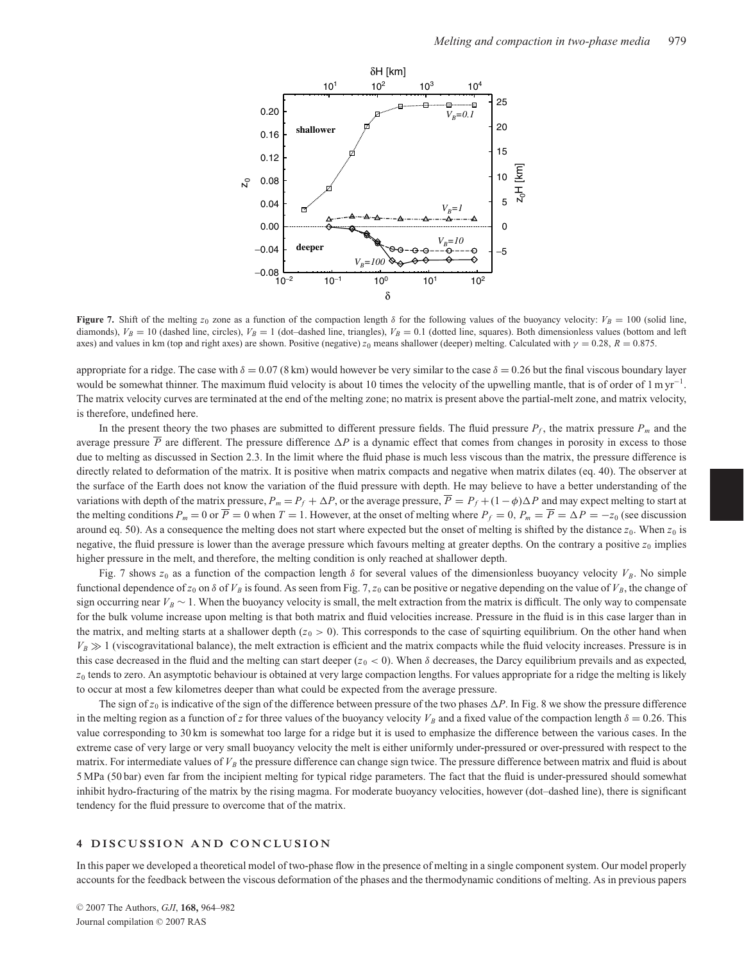

**Figure 7.** Shift of the melting  $z_0$  zone as a function of the compaction length  $\delta$  for the following values of the buoyancy velocity:  $V_B = 100$  (solid line, diamonds),  $V_B = 10$  (dashed line, circles),  $V_B = 1$  (dot–dashed line, triangles),  $V_B = 0.1$  (dotted line, squares). Both dimensionless values (bottom and left axes) and values in km (top and right axes) are shown. Positive (negative)  $z_0$  means shallower (deeper) melting. Calculated with  $\gamma = 0.28$ ,  $R = 0.875$ .

appropriate for a ridge. The case with  $\delta = 0.07$  (8 km) would however be very similar to the case  $\delta = 0.26$  but the final viscous boundary layer would be somewhat thinner. The maximum fluid velocity is about 10 times the velocity of the upwelling mantle, that is of order of 1 m yr<sup>-1</sup>. The matrix velocity curves are terminated at the end of the melting zone; no matrix is present above the partial-melt zone, and matrix velocity, is therefore, undefined here.

In the present theory the two phases are submitted to different pressure fields. The fluid pressure  $P_f$ , the matrix pressure  $P_m$  and the average pressure  $\overline{P}$  are different. The pressure difference  $\Delta P$  is a dynamic effect that comes from changes in porosity in excess to those due to melting as discussed in Section 2.3. In the limit where the fluid phase is much less viscous than the matrix, the pressure difference is directly related to deformation of the matrix. It is positive when matrix compacts and negative when matrix dilates (eq. 40). The observer at the surface of the Earth does not know the variation of the fluid pressure with depth. He may believe to have a better understanding of the variations with depth of the matrix pressure,  $P_m = P_f + \Delta P$ , or the average pressure,  $\overline{P} = P_f + (1 - \phi)\Delta P$  and may expect melting to start at the melting conditions  $P_m = 0$  or  $\overline{P} = 0$  when  $T = 1$ . However, at the onset of melting where  $P_f = 0$ ,  $P_m = \overline{P} = \Delta P = -z_0$  (see discussion around eq. 50). As a consequence the melting does not start where expected but the onset of melting is shifted by the distance  $z_0$ . When  $z_0$  is negative, the fluid pressure is lower than the average pressure which favours melting at greater depths. On the contrary a positive  $z_0$  implies higher pressure in the melt, and therefore, the melting condition is only reached at shallower depth.

Fig. 7 shows  $z_0$  as a function of the compaction length δ for several values of the dimensionless buoyancy velocity  $V_B$ . No simple functional dependence of  $z_0$  on  $\delta$  of  $V_B$  is found. As seen from Fig. 7,  $z_0$  can be positive or negative depending on the value of  $V_B$ , the change of sign occurring near  $V_B \sim 1$ . When the buoyancy velocity is small, the melt extraction from the matrix is difficult. The only way to compensate for the bulk volume increase upon melting is that both matrix and fluid velocities increase. Pressure in the fluid is in this case larger than in the matrix, and melting starts at a shallower depth  $(z_0 > 0)$ . This corresponds to the case of squirting equilibrium. On the other hand when  $V_B \gg 1$  (viscogravitational balance), the melt extraction is efficient and the matrix compacts while the fluid velocity increases. Pressure is in this case decreased in the fluid and the melting can start deeper ( $z_0 < 0$ ). When  $\delta$  decreases, the Darcy equilibrium prevails and as expected,  $z<sub>0</sub>$  tends to zero. An asymptotic behaviour is obtained at very large compaction lengths. For values appropriate for a ridge the melting is likely to occur at most a few kilometres deeper than what could be expected from the average pressure.

The sign of  $z_0$  is indicative of the sign of the difference between pressure of the two phases  $\Delta P$ . In Fig. 8 we show the pressure difference in the melting region as a function of *z* for three values of the buoyancy velocity  $V_B$  and a fixed value of the compaction length  $\delta = 0.26$ . This value corresponding to 30 km is somewhat too large for a ridge but it is used to emphasize the difference between the various cases. In the extreme case of very large or very small buoyancy velocity the melt is either uniformly under-pressured or over-pressured with respect to the matrix. For intermediate values of  $V_B$  the pressure difference can change sign twice. The pressure difference between matrix and fluid is about 5 MPa (50 bar) even far from the incipient melting for typical ridge parameters. The fact that the fluid is under-pressured should somewhat inhibit hydro-fracturing of the matrix by the rising magma. For moderate buoyancy velocities, however (dot–dashed line), there is significant tendency for the fluid pressure to overcome that of the matrix.

## **4 DISCUSSION AND CONCLUSION**

In this paper we developed a theoretical model of two-phase flow in the presence of melting in a single component system. Our model properly accounts for the feedback between the viscous deformation of the phases and the thermodynamic conditions of melting. As in previous papers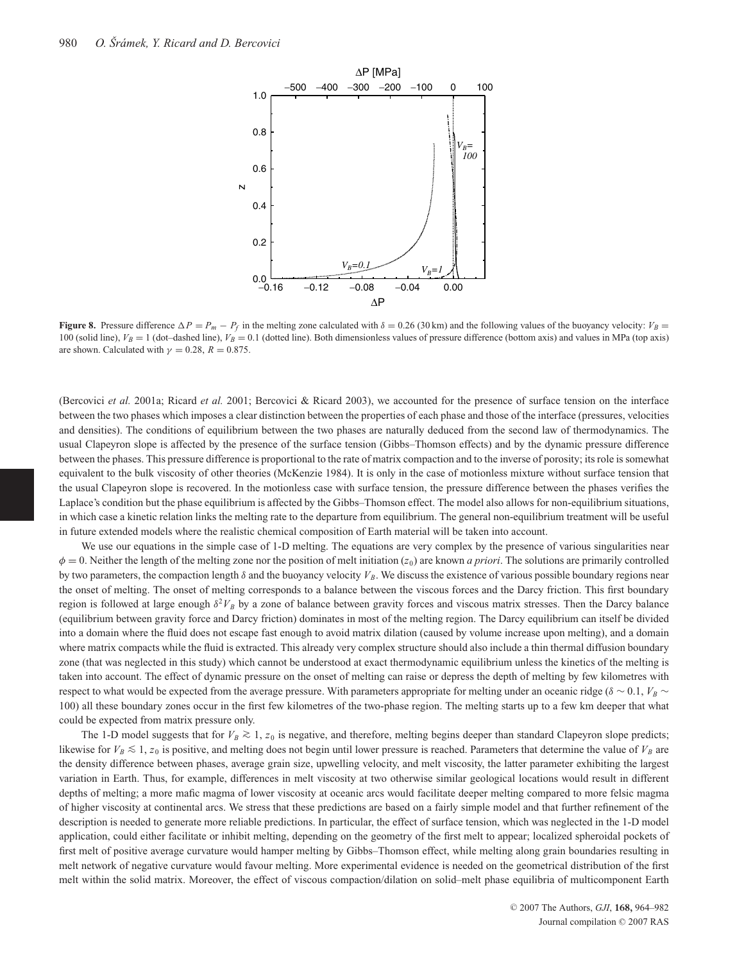

**Figure 8.** Pressure difference  $\Delta P = P_m - P_f$  in the melting zone calculated with  $\delta = 0.26$  (30 km) and the following values of the buoyancy velocity:  $V_B$ 100 (solid line),  $V_B = 1$  (dot-dashed line),  $V_B = 0.1$  (dotted line). Both dimensionless values of pressure difference (bottom axis) and values in MPa (top axis) are shown. Calculated with  $\gamma = 0.28$ ,  $R = 0.875$ .

(Bercovici *et al.* 2001a; Ricard *et al.* 2001; Bercovici & Ricard 2003), we accounted for the presence of surface tension on the interface between the two phases which imposes a clear distinction between the properties of each phase and those of the interface (pressures, velocities and densities). The conditions of equilibrium between the two phases are naturally deduced from the second law of thermodynamics. The usual Clapeyron slope is affected by the presence of the surface tension (Gibbs–Thomson effects) and by the dynamic pressure difference between the phases. This pressure difference is proportional to the rate of matrix compaction and to the inverse of porosity; its role is somewhat equivalent to the bulk viscosity of other theories (McKenzie 1984). It is only in the case of motionless mixture without surface tension that the usual Clapeyron slope is recovered. In the motionless case with surface tension, the pressure difference between the phases verifies the Laplace's condition but the phase equilibrium is affected by the Gibbs–Thomson effect. The model also allows for non-equilibrium situations, in which case a kinetic relation links the melting rate to the departure from equilibrium. The general non-equilibrium treatment will be useful in future extended models where the realistic chemical composition of Earth material will be taken into account.

We use our equations in the simple case of 1-D melting. The equations are very complex by the presence of various singularities near  $\phi = 0$ . Neither the length of the melting zone nor the position of melt initiation  $(z_0)$  are known *a priori*. The solutions are primarily controlled by two parameters, the compaction length  $\delta$  and the buoyancy velocity  $V_B$ . We discuss the existence of various possible boundary regions near the onset of melting. The onset of melting corresponds to a balance between the viscous forces and the Darcy friction. This first boundary region is followed at large enough  $\delta^2 V_B$  by a zone of balance between gravity forces and viscous matrix stresses. Then the Darcy balance (equilibrium between gravity force and Darcy friction) dominates in most of the melting region. The Darcy equilibrium can itself be divided into a domain where the fluid does not escape fast enough to avoid matrix dilation (caused by volume increase upon melting), and a domain where matrix compacts while the fluid is extracted. This already very complex structure should also include a thin thermal diffusion boundary zone (that was neglected in this study) which cannot be understood at exact thermodynamic equilibrium unless the kinetics of the melting is taken into account. The effect of dynamic pressure on the onset of melting can raise or depress the depth of melting by few kilometres with respect to what would be expected from the average pressure. With parameters appropriate for melting under an oceanic ridge ( $\delta \sim 0.1$ ,  $V_B \sim$ 100) all these boundary zones occur in the first few kilometres of the two-phase region. The melting starts up to a few km deeper that what could be expected from matrix pressure only.

The 1-D model suggests that for *V<sub>B</sub>*  $\geq 1$ ,  $z_0$  is negative, and therefore, melting begins deeper than standard Clapeyron slope predicts; likewise for  $V_B \leq 1$ ,  $z_0$  is positive, and melting does not begin until lower pressure is reached. Parameters that determine the value of  $V_B$  are the density difference between phases, average grain size, upwelling velocity, and melt viscosity, the latter parameter exhibiting the largest variation in Earth. Thus, for example, differences in melt viscosity at two otherwise similar geological locations would result in different depths of melting; a more mafic magma of lower viscosity at oceanic arcs would facilitate deeper melting compared to more felsic magma of higher viscosity at continental arcs. We stress that these predictions are based on a fairly simple model and that further refinement of the description is needed to generate more reliable predictions. In particular, the effect of surface tension, which was neglected in the 1-D model application, could either facilitate or inhibit melting, depending on the geometry of the first melt to appear; localized spheroidal pockets of first melt of positive average curvature would hamper melting by Gibbs–Thomson effect, while melting along grain boundaries resulting in melt network of negative curvature would favour melting. More experimental evidence is needed on the geometrical distribution of the first melt within the solid matrix. Moreover, the effect of viscous compaction/dilation on solid–melt phase equilibria of multicomponent Earth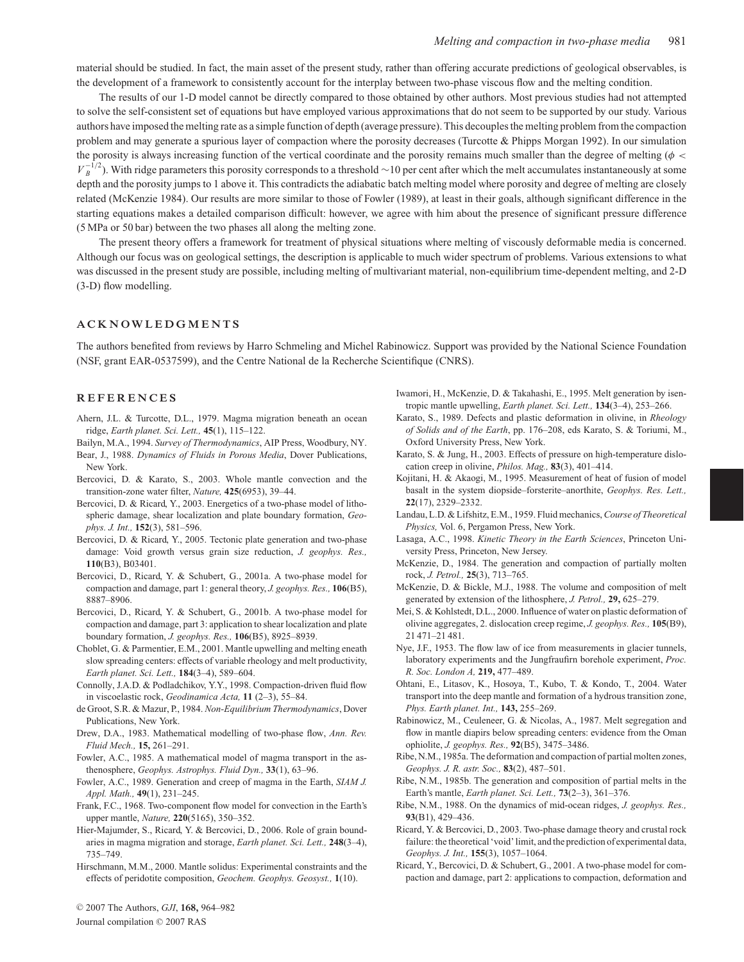material should be studied. In fact, the main asset of the present study, rather than offering accurate predictions of geological observables, is the development of a framework to consistently account for the interplay between two-phase viscous flow and the melting condition.

The results of our 1-D model cannot be directly compared to those obtained by other authors. Most previous studies had not attempted to solve the self-consistent set of equations but have employed various approximations that do not seem to be supported by our study. Various authors have imposed the melting rate as a simple function of depth (average pressure). This decouples the melting problem from the compaction problem and may generate a spurious layer of compaction where the porosity decreases (Turcotte & Phipps Morgan 1992). In our simulation the porosity is always increasing function of the vertical coordinate and the porosity remains much smaller than the degree of melting ( $\phi$  < *V*<sub>B</sub><sup>-1/2</sup>). With ridge parameters this porosity corresponds to a threshold ∼10 per cent after which the melt accumulates instantaneously at some depth and the porosity jumps to 1 above it. This contradicts the adiabatic batch melting model where porosity and degree of melting are closely related (McKenzie 1984). Our results are more similar to those of Fowler (1989), at least in their goals, although significant difference in the starting equations makes a detailed comparison difficult: however, we agree with him about the presence of significant pressure difference (5 MPa or 50 bar) between the two phases all along the melting zone.

The present theory offers a framework for treatment of physical situations where melting of viscously deformable media is concerned. Although our focus was on geological settings, the description is applicable to much wider spectrum of problems. Various extensions to what was discussed in the present study are possible, including melting of multivariant material, non-equilibrium time-dependent melting, and 2-D (3-D) flow modelling.

#### **A C K N OW L E D G M E N T S**

The authors benefited from reviews by Harro Schmeling and Michel Rabinowicz. Support was provided by the National Science Foundation (NSF, grant EAR-0537599), and the Centre National de la Recherche Scientifique (CNRS).

## **R E F E R E N C E S**

- Ahern, J.L. & Turcotte, D.L., 1979. Magma migration beneath an ocean ridge, *Earth planet. Sci. Lett.,* **45**(1), 115–122.
- Bailyn, M.A., 1994. *Survey of Thermodynamics*, AIP Press, Woodbury, NY.
- Bear, J., 1988. *Dynamics of Fluids in Porous Media*, Dover Publications, New York.
- Bercovici, D. & Karato, S., 2003. Whole mantle convection and the transition-zone water filter, *Nature,* **425**(6953), 39–44.
- Bercovici, D. & Ricard, Y., 2003. Energetics of a two-phase model of lithospheric damage, shear localization and plate boundary formation, *Geophys. J. Int.,* **152**(3), 581–596.
- Bercovici, D. & Ricard, Y., 2005. Tectonic plate generation and two-phase damage: Void growth versus grain size reduction, *J. geophys. Res.,* **110**(B3), B03401.
- Bercovici, D., Ricard, Y. & Schubert, G., 2001a. A two-phase model for compaction and damage, part 1: general theory, *J. geophys. Res.,* **106**(B5), 8887–8906.
- Bercovici, D., Ricard, Y. & Schubert, G., 2001b. A two-phase model for compaction and damage, part 3: application to shear localization and plate boundary formation, *J. geophys. Res.,* **106**(B5), 8925–8939.
- Choblet, G. & Parmentier, E.M., 2001. Mantle upwelling and melting eneath slow spreading centers: effects of variable rheology and melt productivity, *Earth planet. Sci. Lett.,* **184**(3–4), 589–604.
- Connolly, J.A.D. & Podladchikov, Y.Y., 1998. Compaction-driven fluid flow in viscoelastic rock, *Geodinamica Acta,* **11** (2–3), 55–84.
- de Groot, S.R. & Mazur, P., 1984. *Non-Equilibrium Thermodynamics*, Dover Publications, New York.
- Drew, D.A., 1983. Mathematical modelling of two-phase flow, *Ann. Rev. Fluid Mech.,* **15,** 261–291.
- Fowler, A.C., 1985. A mathematical model of magma transport in the asthenosphere, *Geophys. Astrophys. Fluid Dyn.,* **33**(1), 63–96.
- Fowler, A.C., 1989. Generation and creep of magma in the Earth, *SIAM J. Appl. Math.,* **49**(1), 231–245.
- Frank, F.C., 1968. Two-component flow model for convection in the Earth's upper mantle, *Nature,* **220**(5165), 350–352.
- Hier-Majumder, S., Ricard, Y. & Bercovici, D., 2006. Role of grain boundaries in magma migration and storage, *Earth planet. Sci. Lett.,* **248**(3–4), 735–749.
- Hirschmann, M.M., 2000. Mantle solidus: Experimental constraints and the effects of peridotite composition, *Geochem. Geophys. Geosyst.,* **1**(10).

Iwamori, H., McKenzie, D. & Takahashi, E., 1995. Melt generation by isentropic mantle upwelling, *Earth planet. Sci. Lett.,* **134**(3–4), 253–266.

- Karato, S., 1989. Defects and plastic deformation in olivine, in *Rheology of Solids and of the Earth*, pp. 176–208, eds Karato, S. & Toriumi, M., Oxford University Press, New York.
- Karato, S. & Jung, H., 2003. Effects of pressure on high-temperature dislocation creep in olivine, *Philos. Mag.,* **83**(3), 401–414.
- Kojitani, H. & Akaogi, M., 1995. Measurement of heat of fusion of model basalt in the system diopside–forsterite–anorthite, *Geophys. Res. Lett.,* **22**(17), 2329–2332.
- Landau, L.D. & Lifshitz, E.M., 1959. Fluid mechanics,*Course of Theoretical Physics,* Vol. 6, Pergamon Press, New York.
- Lasaga, A.C., 1998. *Kinetic Theory in the Earth Sciences*, Princeton University Press, Princeton, New Jersey.
- McKenzie, D., 1984. The generation and compaction of partially molten rock, *J. Petrol.,* **25**(3), 713–765.
- McKenzie, D. & Bickle, M.J., 1988. The volume and composition of melt generated by extension of the lithosphere, *J. Petrol.,* **29,** 625–279.
- Mei, S. & Kohlstedt, D.L., 2000. Influence of water on plastic deformation of olivine aggregates, 2. dislocation creep regime, *J. geophys. Res.,* **105**(B9), 21 471–21 481.
- Nye, J.F., 1953. The flow law of ice from measurements in glacier tunnels, laboratory experiments and the Jungfraufirn borehole experiment, *Proc. R. Soc. London A,* **219,** 477–489.
- Ohtani, E., Litasov, K., Hosoya, T., Kubo, T. & Kondo, T., 2004. Water transport into the deep mantle and formation of a hydrous transition zone, *Phys. Earth planet. Int.,* **143,** 255–269.
- Rabinowicz, M., Ceuleneer, G. & Nicolas, A., 1987. Melt segregation and flow in mantle diapirs below spreading centers: evidence from the Oman ophiolite, *J. geophys. Res.,* **92**(B5), 3475–3486.
- Ribe, N.M., 1985a. The deformation and compaction of partial molten zones, *Geophys. J. R. astr. Soc.,* **83**(2), 487–501.
- Ribe, N.M., 1985b. The generation and composition of partial melts in the Earth's mantle, *Earth planet. Sci. Lett.,* **73**(2–3), 361–376.
- Ribe, N.M., 1988. On the dynamics of mid-ocean ridges, *J. geophys. Res.,* **93**(B1), 429–436.
- Ricard, Y. & Bercovici, D., 2003. Two-phase damage theory and crustal rock failure: the theoretical 'void' limit, and the prediction of experimental data, *Geophys. J. Int.,* **155**(3), 1057–1064.
- Ricard, Y., Bercovici, D. & Schubert, G., 2001. A two-phase model for compaction and damage, part 2: applications to compaction, deformation and